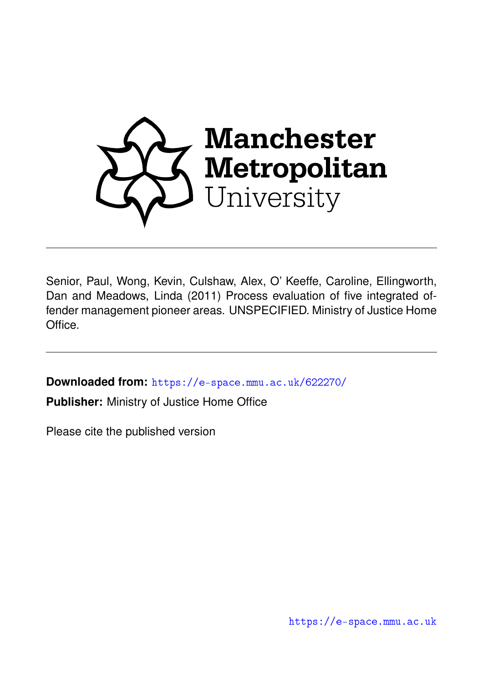

Senior, Paul, Wong, Kevin, Culshaw, Alex, O' Keeffe, Caroline, Ellingworth, Dan and Meadows, Linda (2011) Process evaluation of five integrated offender management pioneer areas. UNSPECIFIED. Ministry of Justice Home Office.

**Downloaded from:** <https://e-space.mmu.ac.uk/622270/>

**Publisher:** Ministry of Justice Home Office

Please cite the published version

<https://e-space.mmu.ac.uk>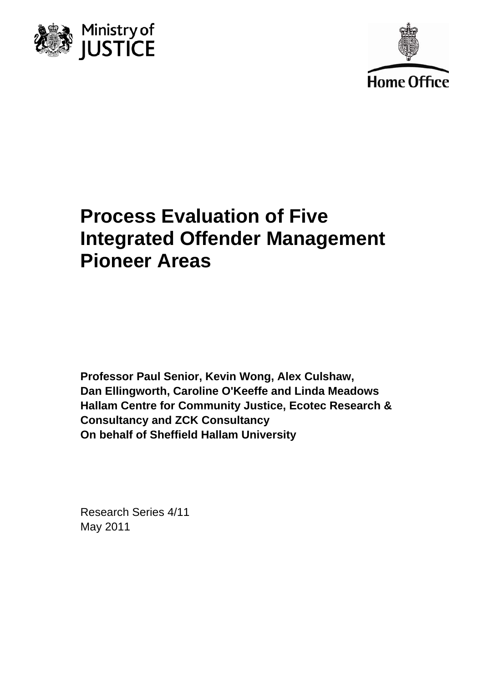



# **Process Evaluation of Five Integrated Offender Management Pioneer Areas**

**Professor Paul Senior, Kevin Wong, Alex Culshaw, Dan Ellingworth, Caroline O'Keeffe and Linda Meadows Hallam Centre for Community Justice, Ecotec Research & Consultancy and ZCK Consultancy On behalf of Sheffield Hallam University** 

Research Series 4/11 May 2011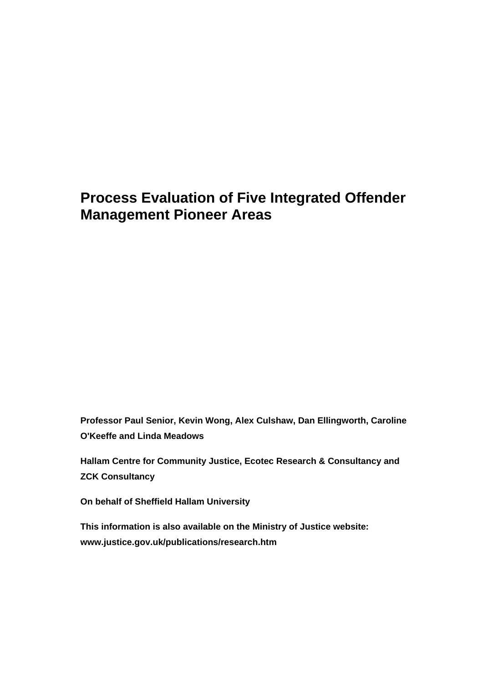## **Process Evaluation of Five Integrated Offender Management Pioneer Areas**

**Professor Paul Senior, Kevin Wong, Alex Culshaw, Dan Ellingworth, Caroline O'Keeffe and Linda Meadows** 

**Hallam Centre for Community Justice, Ecotec Research & Consultancy and ZCK Consultancy** 

**On behalf of Sheffield Hallam University** 

**This information is also available on the Ministry of Justice website: www.justice.gov.uk/publications/research.htm**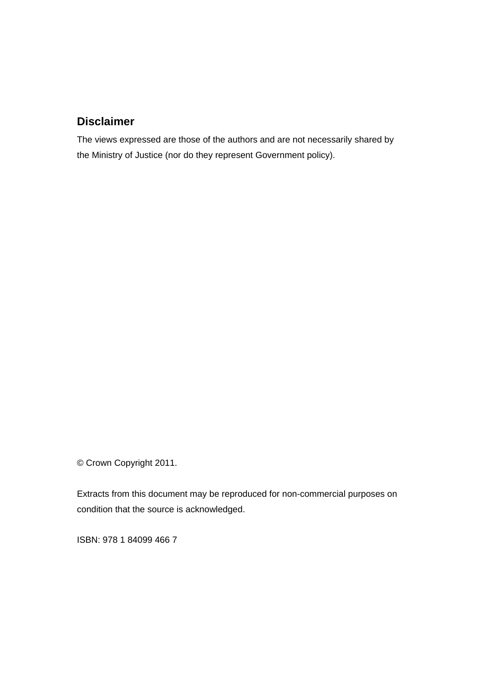## **Disclaimer**

The views expressed are those of the authors and are not necessarily shared by the Ministry of Justice (nor do they represent Government policy).

© Crown Copyright 2011.

Extracts from this document may be reproduced for non-commercial purposes on condition that the source is acknowledged.

ISBN: 978 1 84099 466 7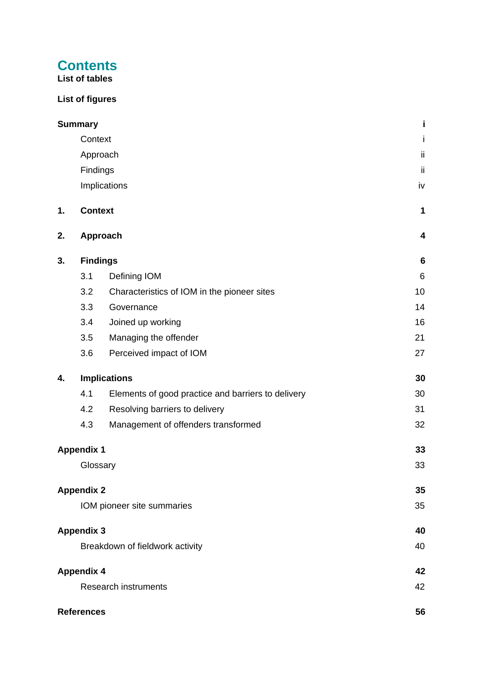## **Contents**

**List of tables** 

## **List of figures**

|    | <b>Summary</b>    |                                                    | j               |
|----|-------------------|----------------------------------------------------|-----------------|
|    | Context           |                                                    | j               |
|    |                   | Approach                                           | ii              |
|    | Findings          |                                                    | ii              |
|    |                   | Implications                                       | iv              |
| 1. | <b>Context</b>    |                                                    | 1               |
| 2. |                   | Approach                                           | 4               |
| 3. | <b>Findings</b>   |                                                    | $6\phantom{1}6$ |
|    | 3.1               | Defining IOM                                       | 6               |
|    | 3.2               | Characteristics of IOM in the pioneer sites        | 10              |
|    | 3.3               | Governance                                         | 14              |
|    | 3.4               | Joined up working                                  | 16              |
|    | 3.5               | Managing the offender                              | 21              |
|    | 3.6               | Perceived impact of IOM                            | 27              |
| 4. |                   | <b>Implications</b>                                | 30              |
|    | 4.1               | Elements of good practice and barriers to delivery | 30              |
|    | 4.2               | Resolving barriers to delivery                     | 31              |
|    | 4.3               | Management of offenders transformed                | 32              |
|    | <b>Appendix 1</b> |                                                    | 33              |
|    | Glossary          |                                                    | 33              |
|    | <b>Appendix 2</b> |                                                    | 35              |
|    |                   | IOM pioneer site summaries                         | 35              |
|    | <b>Appendix 3</b> |                                                    | 40              |
|    |                   | Breakdown of fieldwork activity                    | 40              |
|    | <b>Appendix 4</b> |                                                    | 42              |
|    |                   | <b>Research instruments</b>                        | 42              |
|    | <b>References</b> |                                                    | 56              |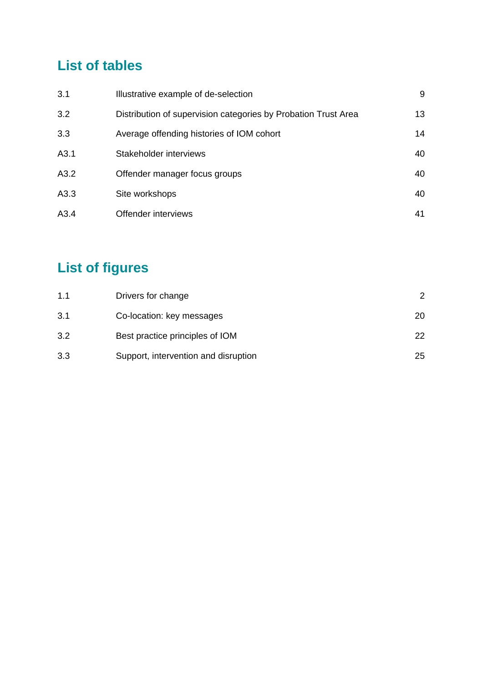## **List of tables**

| 3.1  | Illustrative example of de-selection                           | 9  |
|------|----------------------------------------------------------------|----|
| 3.2  | Distribution of supervision categories by Probation Trust Area | 13 |
| 3.3  | Average offending histories of IOM cohort                      | 14 |
| A3.1 | Stakeholder interviews                                         | 40 |
| A3.2 | Offender manager focus groups                                  | 40 |
| A3.3 | Site workshops                                                 | 40 |
| A3.4 | Offender interviews                                            | 41 |

# **List of figures**

| 1.1 | Drivers for change                   | 2  |
|-----|--------------------------------------|----|
| 3.1 | Co-location: key messages            | 20 |
| 3.2 | Best practice principles of IOM      | 22 |
| 3.3 | Support, intervention and disruption | 25 |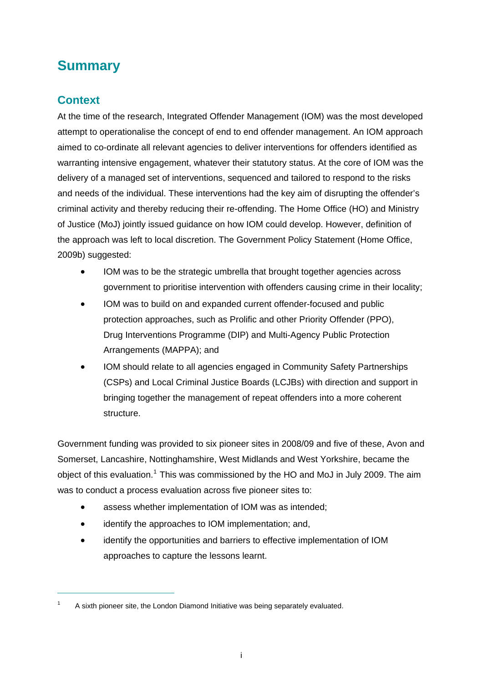## <span id="page-6-0"></span>**Summary**

## <span id="page-6-1"></span>**Context**

 $\overline{a}$ 

At the time of the research, Integrated Offender Management (IOM) was the most developed attempt to operationalise the concept of end to end offender management. An IOM approach aimed to co-ordinate all relevant agencies to deliver interventions for offenders identified as warranting intensive engagement, whatever their statutory status. At the core of IOM was the delivery of a managed set of interventions, sequenced and tailored to respond to the risks and needs of the individual. These interventions had the key aim of disrupting the offender's criminal activity and thereby reducing their re-offending. The Home Office (HO) and Ministry of Justice (MoJ) jointly issued guidance on how IOM could develop. However, definition of the approach was left to local discretion. The Government Policy Statement (Home Office, 2009b) suggested:

- IOM was to be the strategic umbrella that brought together agencies across government to prioritise intervention with offenders causing crime in their locality;
- IOM was to build on and expanded current offender-focused and public protection approaches, such as Prolific and other Priority Offender (PPO), Drug Interventions Programme (DIP) and Multi-Agency Public Protection Arrangements (MAPPA); and
- IOM should relate to all agencies engaged in Community Safety Partnerships (CSPs) and Local Criminal Justice Boards (LCJBs) with direction and support in bringing together the management of repeat offenders into a more coherent structure.

Government funding was provided to six pioneer sites in 2008/09 and five of these, Avon and Somerset, Lancashire, Nottinghamshire, West Midlands and West Yorkshire, became the object of this evaluation.<sup>[1](#page-6-2)</sup> This was commissioned by the HO and MoJ in July 2009. The aim was to conduct a process evaluation across five pioneer sites to:

- assess whether implementation of IOM was as intended;
- identify the approaches to IOM implementation; and,
- identify the opportunities and barriers to effective implementation of IOM approaches to capture the lessons learnt.

<span id="page-6-2"></span><sup>1</sup> A sixth pioneer site, the London Diamond Initiative was being separately evaluated.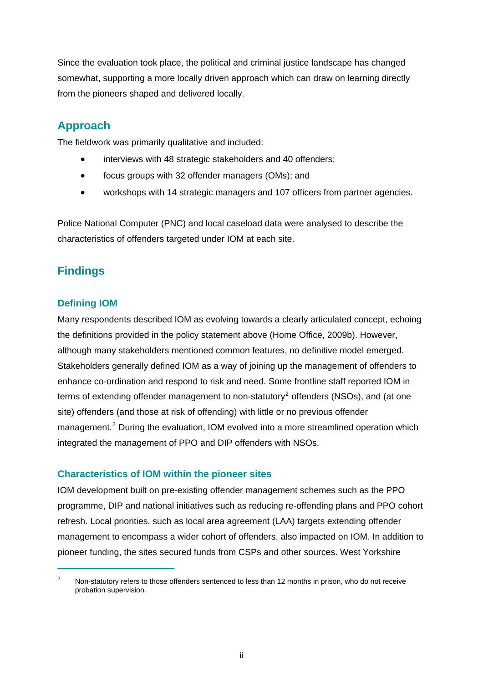Since the evaluation took place, the political and criminal justice landscape has changed somewhat, supporting a more locally driven approach which can draw on learning directly from the pioneers shaped and delivered locally.

## <span id="page-7-0"></span>**Approach**

The fieldwork was primarily qualitative and included:

- interviews with 48 strategic stakeholders and 40 offenders;
- focus groups with 32 offender managers (OMs); and
- workshops with 14 strategic managers and 107 officers from partner agencies.

Police National Computer (PNC) and local caseload data were analysed to describe the characteristics of offenders targeted under IOM at each site.

## <span id="page-7-1"></span>**Findings**

#### **Defining IOM**

 $\overline{a}$ 

Many respondents described IOM as evolving towards a clearly articulated concept, echoing the definitions provided in the policy statement above (Home Office, 2009b). However, although many stakeholders mentioned common features, no definitive model emerged. Stakeholders generally defined IOM as a way of joining up the management of offenders to enhance co-ordination and respond to risk and need. Some frontline staff reported IOM in terms of extending offender management to non-statutory<sup>[2](#page-7-2)</sup> offenders (NSOs), and (at one site) offenders (and those at risk of offending) with little or no previous offender management.<sup>[3](#page-7-3)</sup> During the evaluation, IOM evolved into a more streamlined operation which integrated the management of PPO and DIP offenders with NSOs.

#### **Characteristics of IOM within the pioneer sites**

IOM development built on pre-existing offender management schemes such as the PPO programme, DIP and national initiatives such as reducing re-offending plans and PPO cohort refresh. Local priorities, such as local area agreement (LAA) targets extending offender management to encompass a wider cohort of offenders, also impacted on IOM. In addition to pioneer funding, the sites secured funds from CSPs and other sources. West Yorkshire

<span id="page-7-3"></span><span id="page-7-2"></span><sup>2</sup> Non-statutory refers to those offenders sentenced to less than 12 months in prison, who do not receive probation supervision.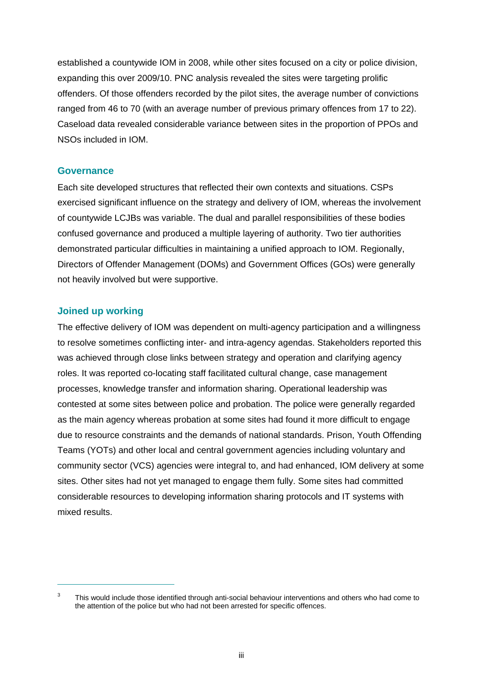established a countywide IOM in 2008, while other sites focused on a city or police division, expanding this over 2009/10. PNC analysis revealed the sites were targeting prolific offenders. Of those offenders recorded by the pilot sites, the average number of convictions ranged from 46 to 70 (with an average number of previous primary offences from 17 to 22). Caseload data revealed considerable variance between sites in the proportion of PPOs and NSOs included in IOM.

#### **Governance**

Each site developed structures that reflected their own contexts and situations. CSPs exercised significant influence on the strategy and delivery of IOM, whereas the involvement of countywide LCJBs was variable. The dual and parallel responsibilities of these bodies confused governance and produced a multiple layering of authority. Two tier authorities demonstrated particular difficulties in maintaining a unified approach to IOM. Regionally, Directors of Offender Management (DOMs) and Government Offices (GOs) were generally not heavily involved but were supportive.

#### **Joined up working**

 $\overline{a}$ 

The effective delivery of IOM was dependent on multi-agency participation and a willingness to resolve sometimes conflicting inter- and intra-agency agendas. Stakeholders reported this was achieved through close links between strategy and operation and clarifying agency roles. It was reported co-locating staff facilitated cultural change, case management processes, knowledge transfer and information sharing. Operational leadership was contested at some sites between police and probation. The police were generally regarded as the main agency whereas probation at some sites had found it more difficult to engage due to resource constraints and the demands of national standards. Prison, Youth Offending Teams (YOTs) and other local and central government agencies including voluntary and community sector (VCS) agencies were integral to, and had enhanced, IOM delivery at some sites. Other sites had not yet managed to engage them fully. Some sites had committed considerable resources to developing information sharing protocols and IT systems with mixed results.

<sup>3</sup> This would include those identified through anti-social behaviour interventions and others who had come to the attention of the police but who had not been arrested for specific offences.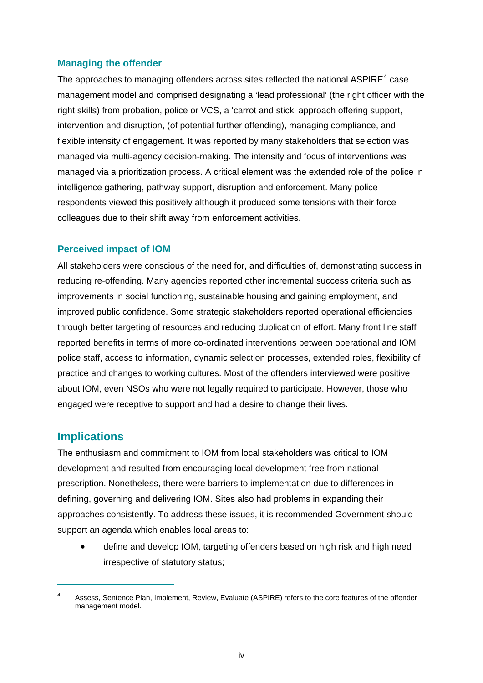#### **Managing the offender**

The approaches to managing offenders across sites reflected the national ASPIRE<sup>[4](#page-9-1)</sup> case management model and comprised designating a 'lead professional' (the right officer with the right skills) from probation, police or VCS, a 'carrot and stick' approach offering support, intervention and disruption, (of potential further offending), managing compliance, and flexible intensity of engagement. It was reported by many stakeholders that selection was managed via multi-agency decision-making. The intensity and focus of interventions was managed via a prioritization process. A critical element was the extended role of the police in intelligence gathering, pathway support, disruption and enforcement. Many police respondents viewed this positively although it produced some tensions with their force colleagues due to their shift away from enforcement activities.

#### **Perceived impact of IOM**

All stakeholders were conscious of the need for, and difficulties of, demonstrating success in reducing re-offending. Many agencies reported other incremental success criteria such as improvements in social functioning, sustainable housing and gaining employment, and improved public confidence. Some strategic stakeholders reported operational efficiencies through better targeting of resources and reducing duplication of effort. Many front line staff reported benefits in terms of more co-ordinated interventions between operational and IOM police staff, access to information, dynamic selection processes, extended roles, flexibility of practice and changes to working cultures. Most of the offenders interviewed were positive about IOM, even NSOs who were not legally required to participate. However, those who engaged were receptive to support and had a desire to change their lives.

#### <span id="page-9-0"></span>**Implications**

 $\overline{a}$ 

The enthusiasm and commitment to IOM from local stakeholders was critical to IOM development and resulted from encouraging local development free from national prescription. Nonetheless, there were barriers to implementation due to differences in defining, governing and delivering IOM. Sites also had problems in expanding their approaches consistently. To address these issues, it is recommended Government should support an agenda which enables local areas to:

 define and develop IOM, targeting offenders based on high risk and high need irrespective of statutory status;

<span id="page-9-1"></span><sup>4</sup> Assess, Sentence Plan, Implement, Review, Evaluate (ASPIRE) refers to the core features of the offender management model.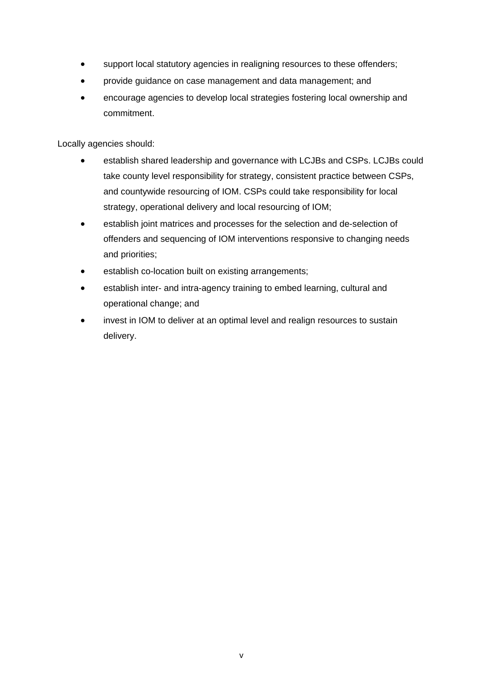- support local statutory agencies in realigning resources to these offenders;
- provide guidance on case management and data management; and
- encourage agencies to develop local strategies fostering local ownership and commitment.

Locally agencies should:

- establish shared leadership and governance with LCJBs and CSPs. LCJBs could take county level responsibility for strategy, consistent practice between CSPs, and countywide resourcing of IOM. CSPs could take responsibility for local strategy, operational delivery and local resourcing of IOM;
- establish joint matrices and processes for the selection and de-selection of offenders and sequencing of IOM interventions responsive to changing needs and priorities;
- establish co-location built on existing arrangements;
- establish inter- and intra-agency training to embed learning, cultural and operational change; and
- invest in IOM to deliver at an optimal level and realign resources to sustain delivery.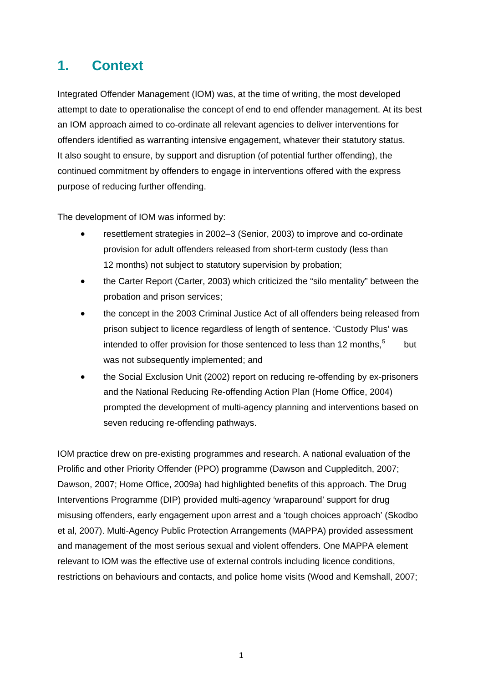## <span id="page-11-0"></span>**1. Context**

Integrated Offender Management (IOM) was, at the time of writing, the most developed attempt to date to operationalise the concept of end to end offender management. At its best an IOM approach aimed to co-ordinate all relevant agencies to deliver interventions for offenders identified as warranting intensive engagement, whatever their statutory status. It also sought to ensure, by support and disruption (of potential further offending), the continued commitment by offenders to engage in interventions offered with the express purpose of reducing further offending.

The development of IOM was informed by:

- resettlement strategies in 2002–3 (Senior, 2003) to improve and co-ordinate provision for adult offenders released from short-term custody (less than 12 months) not subject to statutory supervision by probation;
- the Carter Report (Carter, 2003) which criticized the "silo mentality" between the probation and prison services;
- the concept in the 2003 Criminal Justice Act of all offenders being released from prison subject to licence regardless of length of sentence. 'Custody Plus' was intended to offer provision for those sentenced to less than 12 months,  $5$  but was not subsequently implemented; and
- the Social Exclusion Unit (2002) report on reducing re-offending by ex-prisoners and the National Reducing Re-offending Action Plan (Home Office, 2004) prompted the development of multi-agency planning and interventions based on seven reducing re-offending pathways.

<span id="page-11-1"></span>IOM practice drew on pre-existing programmes and research. A national evaluation of the Prolific and other Priority Offender (PPO) programme (Dawson and Cuppleditch, 2007; Dawson, 2007; Home Office, 2009a) had highlighted benefits of this approach. The Drug Interventions Programme (DIP) provided multi-agency 'wraparound' support for drug misusing offenders, early engagement upon arrest and a 'tough choices approach' (Skodbo et al, 2007). Multi-Agency Public Protection Arrangements (MAPPA) provided assessment and management of the most serious sexual and violent offenders. One MAPPA element relevant to IOM was the effective use of external controls including licence conditions, restrictions on behaviours and contacts, and police home visits (Wood and Kemshall, 2007;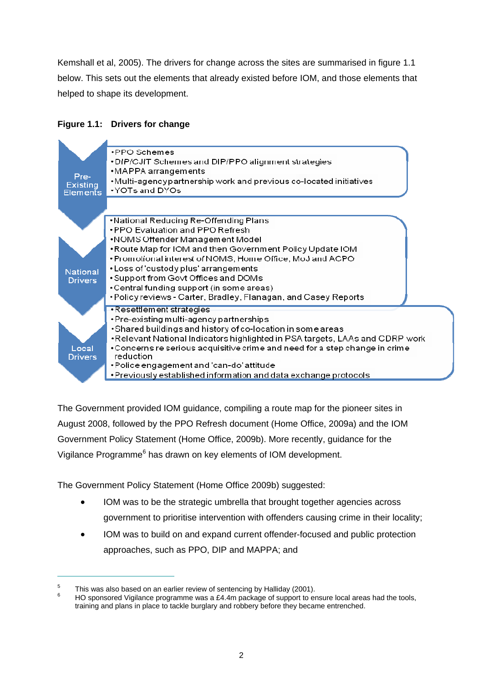Kemshall et al, 2005). The drivers for change across the sites are summarised in figure 1.1 below. This sets out the elements that already existed before IOM, and those elements that helped to shape its development.

#### **Figure 1.1: Drivers for change**

<span id="page-12-0"></span>

The Government provided IOM guidance, compiling a route map for the pioneer sites in August 2008, followed by the PPO Refresh document (Home Office, 2009a) and the IOM Government Policy Statement (Home Office, 2009b). More recently, guidance for the Vigilance Programme<sup>6</sup> has drawn on key elements of IOM development.

The Government Policy Statement (Home Office 2009b) suggested:

- IOM was to be the strategic umbrella that brought together agencies across government to prioritise intervention with offenders causing crime in their locality;
- IOM was to build on and expand current offender-focused and public protection approaches, such as PPO, DIP and MAPPA; and

<sup>5</sup> This was also based on an earlier review of sentencing by Halliday (2001).

<sup>6</sup> HO sponsored Vigilance programme was a £4.4m package of support to ensure local areas had the tools, training and plans in place to tackle burglary and robbery before they became entrenched.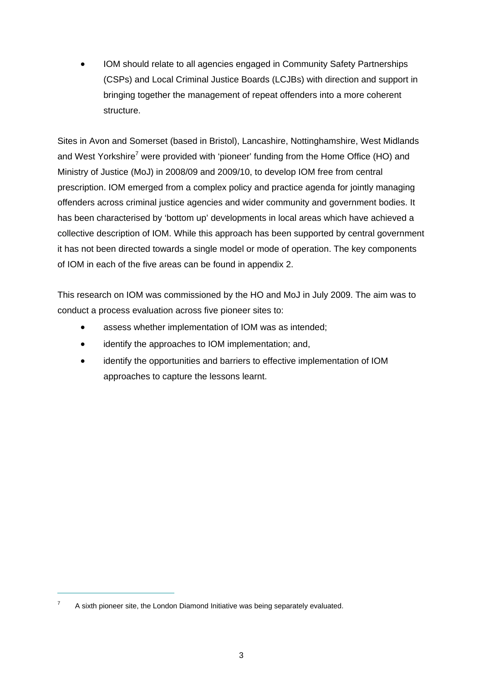IOM should relate to all agencies engaged in Community Safety Partnerships (CSPs) and Local Criminal Justice Boards (LCJBs) with direction and support in bringing together the management of repeat offenders into a more coherent structure.

Sites in Avon and Somerset (based in Bristol), Lancashire, Nottinghamshire, West Midlands and West Yorkshire<sup>7</sup> were provided with 'pioneer' funding from the Home Office (HO) and Ministry of Justice (MoJ) in 2008/09 and 2009/10, to develop IOM free from central prescription. IOM emerged from a complex policy and practice agenda for jointly managing offenders across criminal justice agencies and wider community and government bodies. It has been characterised by 'bottom up' developments in local areas which have achieved a collective description of IOM. While this approach has been supported by central government it has not been directed towards a single model or mode of operation. The key components of IOM in each of the five areas can be found in appendix 2.

This research on IOM was commissioned by the HO and MoJ in July 2009. The aim was to conduct a process evaluation across five pioneer sites to:

- assess whether implementation of IOM was as intended;
- identify the approaches to IOM implementation; and,
- identify the opportunities and barriers to effective implementation of IOM approaches to capture the lessons learnt.

<sup>7</sup> A sixth pioneer site, the London Diamond Initiative was being separately evaluated.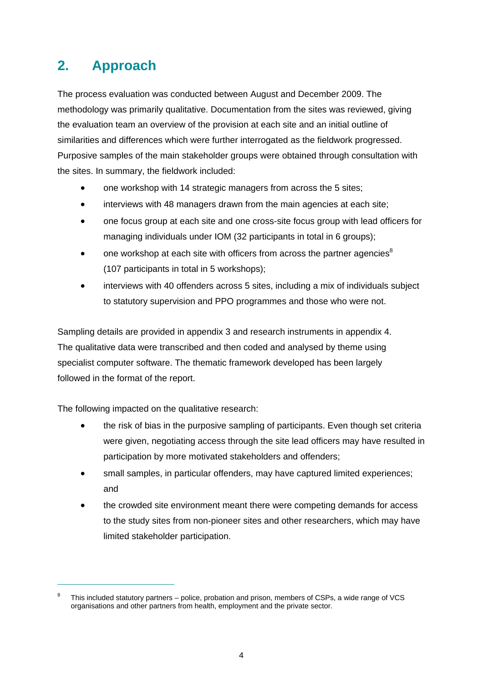## <span id="page-14-0"></span>**2. Approach**

The process evaluation was conducted between August and December 2009. The methodology was primarily qualitative. Documentation from the sites was reviewed, giving the evaluation team an overview of the provision at each site and an initial outline of similarities and differences which were further interrogated as the fieldwork progressed. Purposive samples of the main stakeholder groups were obtained through consultation with the sites. In summary, the fieldwork included:

- one workshop with 14 strategic managers from across the 5 sites;
- interviews with 48 managers drawn from the main agencies at each site;
- one focus group at each site and one cross-site focus group with lead officers for managing individuals under IOM (32 participants in total in 6 groups):
- one workshop at each site with officers from across the partner agencies<sup>8</sup> (107 participants in total in 5 workshops);
- interviews with 40 offenders across 5 sites, including a mix of individuals subject to statutory supervision and PPO programmes and those who were not.

Sampling details are provided in appendix 3 and research instruments in appendix 4. The qualitative data were transcribed and then coded and analysed by theme using specialist computer software. The thematic framework developed has been largely followed in the format of the report.

The following impacted on the qualitative research:

- the risk of bias in the purposive sampling of participants. Even though set criteria were given, negotiating access through the site lead officers may have resulted in participation by more motivated stakeholders and offenders;
- small samples, in particular offenders, may have captured limited experiences; and
- the crowded site environment meant there were competing demands for access to the study sites from non-pioneer sites and other researchers, which may have limited stakeholder participation.

<sup>8</sup> This included statutory partners – police, probation and prison, members of CSPs, a wide range of VCS organisations and other partners from health, employment and the private sector.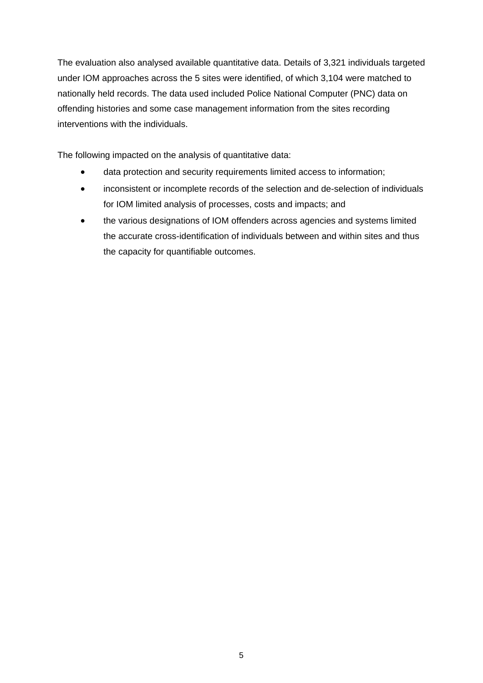The evaluation also analysed available quantitative data. Details of 3,321 individuals targeted under IOM approaches across the 5 sites were identified, of which 3,104 were matched to nationally held records. The data used included Police National Computer (PNC) data on offending histories and some case management information from the sites recording interventions with the individuals.

The following impacted on the analysis of quantitative data:

- data protection and security requirements limited access to information;
- inconsistent or incomplete records of the selection and de-selection of individuals for IOM limited analysis of processes, costs and impacts; and
- the various designations of IOM offenders across agencies and systems limited the accurate cross-identification of individuals between and within sites and thus the capacity for quantifiable outcomes.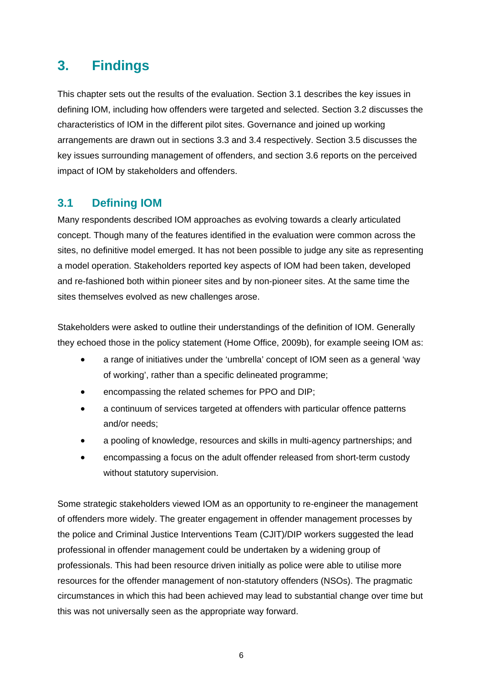## <span id="page-16-0"></span>**3. Findings**

This chapter sets out the results of the evaluation. Section 3.1 describes the key issues in defining IOM, including how offenders were targeted and selected. Section 3.2 discusses the characteristics of IOM in the different pilot sites. Governance and joined up working arrangements are drawn out in sections 3.3 and 3.4 respectively. Section 3.5 discusses the key issues surrounding management of offenders, and section 3.6 reports on the perceived impact of IOM by stakeholders and offenders.

## <span id="page-16-1"></span>**3.1 Defining IOM**

Many respondents described IOM approaches as evolving towards a clearly articulated concept. Though many of the features identified in the evaluation were common across the sites, no definitive model emerged. It has not been possible to judge any site as representing a model operation. Stakeholders reported key aspects of IOM had been taken, developed and re-fashioned both within pioneer sites and by non-pioneer sites. At the same time the sites themselves evolved as new challenges arose.

Stakeholders were asked to outline their understandings of the definition of IOM. Generally they echoed those in the policy statement (Home Office, 2009b), for example seeing IOM as:

- a range of initiatives under the 'umbrella' concept of IOM seen as a general 'way of working', rather than a specific delineated programme;
- encompassing the related schemes for PPO and DIP;
- a continuum of services targeted at offenders with particular offence patterns and/or needs;
- a pooling of knowledge, resources and skills in multi-agency partnerships; and
- encompassing a focus on the adult offender released from short-term custody without statutory supervision.

Some strategic stakeholders viewed IOM as an opportunity to re-engineer the management of offenders more widely. The greater engagement in offender management processes by the police and Criminal Justice Interventions Team (CJIT)/DIP workers suggested the lead professional in offender management could be undertaken by a widening group of professionals. This had been resource driven initially as police were able to utilise more resources for the offender management of non-statutory offenders (NSOs). The pragmatic circumstances in which this had been achieved may lead to substantial change over time but this was not universally seen as the appropriate way forward.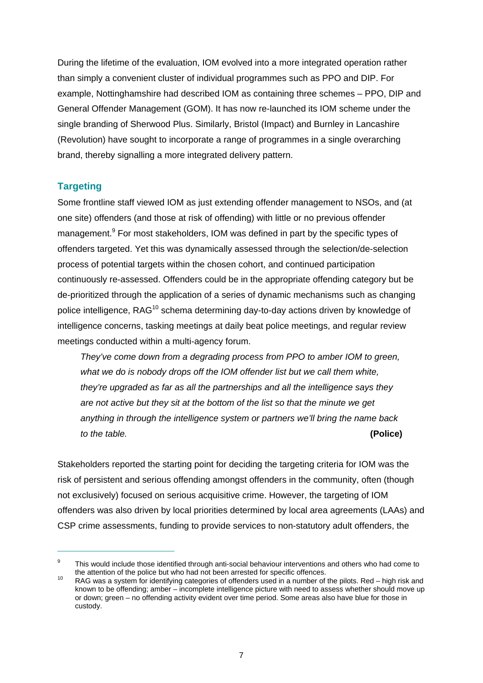During the lifetime of the evaluation, IOM evolved into a more integrated operation rather than simply a convenient cluster of individual programmes such as PPO and DIP. For example, Nottinghamshire had described IOM as containing three schemes – PPO, DIP and General Offender Management (GOM). It has now re-launched its IOM scheme under the single branding of Sherwood Plus. Similarly, Bristol (Impact) and Burnley in Lancashire (Revolution) have sought to incorporate a range of programmes in a single overarching brand, thereby signalling a more integrated delivery pattern.

#### **Targeting**

 $\overline{a}$ 

Some frontline staff viewed IOM as just extending offender management to NSOs, and (at one site) offenders (and those at risk of offending) with little or no previous offender management.<sup>9</sup> For most stakeholders, IOM was defined in part by the specific types of offenders targeted. Yet this was dynamically assessed through the selection/de-selection process of potential targets within the chosen cohort, and continued participation continuously re-assessed. Offenders could be in the appropriate offending category but be de-prioritized through the application of a series of dynamic mechanisms such as changing police intelligence, RAG<sup>10</sup> schema determining day-to-day actions driven by knowledge of intelligence concerns, tasking meetings at daily beat police meetings, and regular review meetings conducted within a multi-agency forum.

*They've come down from a degrading process from PPO to amber IOM to green, what we do is nobody drops off the IOM offender list but we call them white, they're upgraded as far as all the partnerships and all the intelligence says they are not active but they sit at the bottom of the list so that the minute we get anything in through the intelligence system or partners we'll bring the name back to the table.* **(Police)**

Stakeholders reported the starting point for deciding the targeting criteria for IOM was the risk of persistent and serious offending amongst offenders in the community, often (though not exclusively) focused on serious acquisitive crime. However, the targeting of IOM offenders was also driven by local priorities determined by local area agreements (LAAs) and CSP crime assessments, funding to provide services to non-statutory adult offenders, the

<sup>9</sup> This would include those identified through anti-social behaviour interventions and others who had come to the attention of the police but who had not been arrested for specific offences.

the attention of the police but who had not been arrested for specific offences.<br><sup>10</sup> RAG was a system for identifying categories of offenders used in a number of the pilots. Red – high risk and known to be offending; amber – incomplete intelligence picture with need to assess whether should move up or down; green – no offending activity evident over time period. Some areas also have blue for those in custody.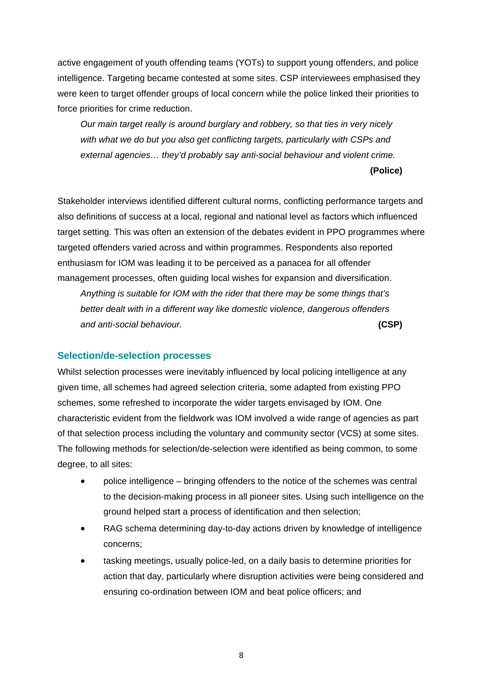active engagement of youth offending teams (YOTs) to support young offenders, and police intelligence. Targeting became contested at some sites. CSP interviewees emphasised they were keen to target offender groups of local concern while the police linked their priorities to force priorities for crime reduction.

*Our main target really is around burglary and robbery, so that ties in very nicely with what we do but you also get conflicting targets, particularly with CSPs and external agencies… they'd probably say anti-social behaviour and violent crime.*

**(Police)**

Stakeholder interviews identified different cultural norms, conflicting performance targets and also definitions of success at a local, regional and national level as factors which influenced target setting. This was often an extension of the debates evident in PPO programmes where targeted offenders varied across and within programmes. Respondents also reported enthusiasm for IOM was leading it to be perceived as a panacea for all offender management processes, often guiding local wishes for expansion and diversification.

*Anything is suitable for IOM with the rider that there may be some things that's better dealt with in a different way like domestic violence, dangerous offenders and anti-social behaviour.* **(CSP)**

#### **Selection/de-selection processes**

Whilst selection processes were inevitably influenced by local policing intelligence at any given time, all schemes had agreed selection criteria, some adapted from existing PPO schemes, some refreshed to incorporate the wider targets envisaged by IOM. One characteristic evident from the fieldwork was IOM involved a wide range of agencies as part of that selection process including the voluntary and community sector (VCS) at some sites. The following methods for selection/de-selection were identified as being common, to some degree, to all sites:

- police intelligence bringing offenders to the notice of the schemes was central to the decision-making process in all pioneer sites. Using such intelligence on the ground helped start a process of identification and then selection;
- RAG schema determining day-to-day actions driven by knowledge of intelligence concerns;
- tasking meetings, usually police-led, on a daily basis to determine priorities for action that day, particularly where disruption activities were being considered and ensuring co-ordination between IOM and beat police officers; and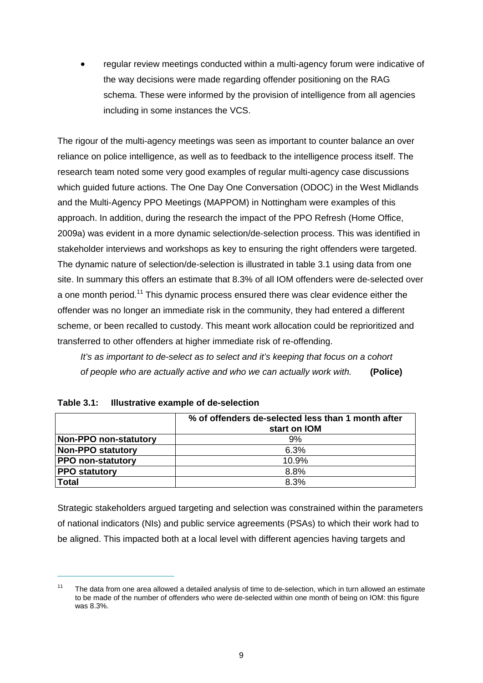regular review meetings conducted within a multi-agency forum were indicative of the way decisions were made regarding offender positioning on the RAG schema. These were informed by the provision of intelligence from all agencies including in some instances the VCS.

The rigour of the multi-agency meetings was seen as important to counter balance an over reliance on police intelligence, as well as to feedback to the intelligence process itself. The research team noted some very good examples of regular multi-agency case discussions which guided future actions. The One Day One Conversation (ODOC) in the West Midlands and the Multi-Agency PPO Meetings (MAPPOM) in Nottingham were examples of this approach. In addition, during the research the impact of the PPO Refresh (Home Office, 2009a) was evident in a more dynamic selection/de-selection process. This was identified in stakeholder interviews and workshops as key to ensuring the right offenders were targeted. The dynamic nature of selection/de-selection is illustrated in table 3.1 using data from one site. In summary this offers an estimate that 8.3% of all IOM offenders were de-selected over a one month period.<sup>11</sup> This dynamic process ensured there was clear evidence either the offender was no longer an immediate risk in the community, they had entered a different scheme, or been recalled to custody. This meant work allocation could be reprioritized and transferred to other offenders at higher immediate risk of re-offending.

*It's as important to de-select as to select and it's keeping that focus on a cohort of people who are actually active and who we can actually work with.* **(Police)**

|                          | % of offenders de-selected less than 1 month after |
|--------------------------|----------------------------------------------------|
|                          | start on IOM                                       |
| Non-PPO non-statutory    | 9%                                                 |
| <b>Non-PPO statutory</b> | 6.3%                                               |
| <b>PPO non-statutory</b> | 10.9%                                              |
| <b>PPO statutory</b>     | 8.8%                                               |
| <b>Total</b>             | 8.3%                                               |

<span id="page-19-0"></span>

| Table 3.1: Illustrative example of de-selection |
|-------------------------------------------------|
|                                                 |

 $\overline{a}$ 

Strategic stakeholders argued targeting and selection was constrained within the parameters of national indicators (NIs) and public service agreements (PSAs) to which their work had to be aligned. This impacted both at a local level with different agencies having targets and

 $11$  The data from one area allowed a detailed analysis of time to de-selection, which in turn allowed an estimate to be made of the number of offenders who were de-selected within one month of being on IOM: this figure was 8.3%.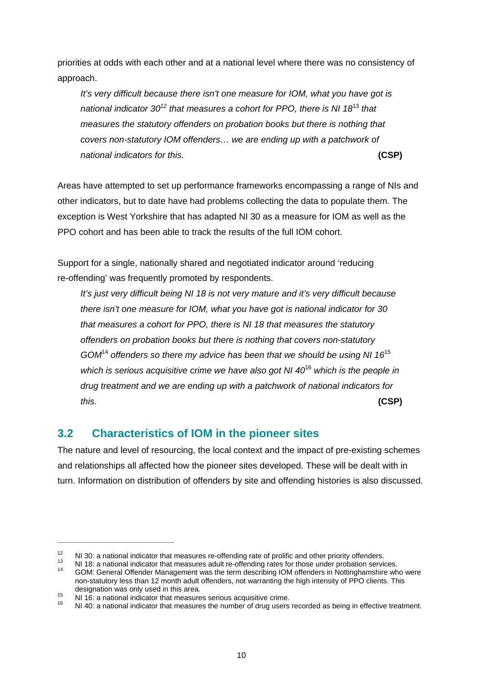priorities at odds with each other and at a national level where there was no consistency of approach.

*It's very difficult because there isn't one measure for IOM, what you have got is national indicator 3012 that measures a cohort for PPO, there is NI 18*<sup>13</sup> *that measures the statutory offenders on probation books but there is nothing that covers non-statutory IOM offenders… we are ending up with a patchwork of national indicators for this.* **(CSP)**

Areas have attempted to set up performance frameworks encompassing a range of NIs and other indicators, but to date have had problems collecting the data to populate them. The exception is West Yorkshire that has adapted NI 30 as a measure for IOM as well as the PPO cohort and has been able to track the results of the full IOM cohort.

Support for a single, nationally shared and negotiated indicator around 'reducing re-offending' was frequently promoted by respondents.

*It's just very difficult being NI 18 is not very mature and it's very difficult because there isn't one measure for IOM, what you have got is national indicator for 30 that measures a cohort for PPO, there is NI 18 that measures the statutory offenders on probation books but there is nothing that covers non-statutory GOM*<sup>14</sup> *offenders so there my advice has been that we should be using NI 16*<sup>15</sup> *which is serious acquisitive crime we have also got NI 40*<sup>16</sup> *which is the people in drug treatment and we are ending up with a patchwork of national indicators for this.* **(CSP)**

## <span id="page-20-0"></span>**3.2 Characteristics of IOM in the pioneer sites**

The nature and level of resourcing, the local context and the impact of pre-existing schemes and relationships all affected how the pioneer sites developed. These will be dealt with in turn. Information on distribution of offenders by site and offending histories is also discussed.

<sup>12</sup> NI 30: a national indicator that measures re-offending rate of prolific and other priority offenders.<br><sup>13</sup> NI 18: a national indicator that measures adult re-offending rates for those under probation services.<br><sup>14</sup> G

non-statutory less than 12 month adult offenders, not warranting the high intensity of PPO clients. This designation was only used in this area.

designation was only used in this area.<br>15 NI 16: a national indicator that measures serious acquisitive crime.<br>16 NI 40: a national indicator that measures the number of drug users recorded as being in effective treatmen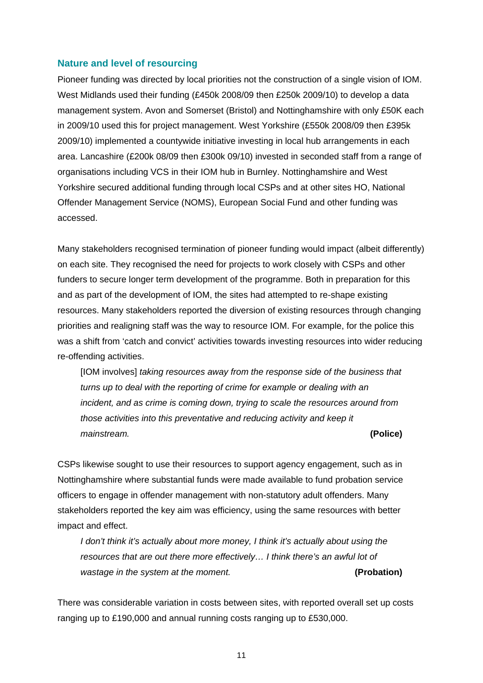#### **Nature and level of resourcing**

Pioneer funding was directed by local priorities not the construction of a single vision of IOM. West Midlands used their funding (£450k 2008/09 then £250k 2009/10) to develop a data management system. Avon and Somerset (Bristol) and Nottinghamshire with only £50K each in 2009/10 used this for project management. West Yorkshire (£550k 2008/09 then £395k 2009/10) implemented a countywide initiative investing in local hub arrangements in each area. Lancashire (£200k 08/09 then £300k 09/10) invested in seconded staff from a range of organisations including VCS in their IOM hub in Burnley. Nottinghamshire and West Yorkshire secured additional funding through local CSPs and at other sites HO, National Offender Management Service (NOMS), European Social Fund and other funding was accessed.

Many stakeholders recognised termination of pioneer funding would impact (albeit differently) on each site. They recognised the need for projects to work closely with CSPs and other funders to secure longer term development of the programme. Both in preparation for this and as part of the development of IOM, the sites had attempted to re-shape existing resources. Many stakeholders reported the diversion of existing resources through changing priorities and realigning staff was the way to resource IOM. For example, for the police this was a shift from 'catch and convict' activities towards investing resources into wider reducing re-offending activities.

[IOM involves] taking resources away from the response side of the business that *turns up to deal with the reporting of crime for example or dealing with an incident, and as crime is coming down, trying to scale the resources around from those activities into this preventative and reducing activity and keep it mainstream.* **(Police)**

CSPs likewise sought to use their resources to support agency engagement, such as in Nottinghamshire where substantial funds were made available to fund probation service officers to engage in offender management with non-statutory adult offenders. Many stakeholders reported the key aim was efficiency, using the same resources with better impact and effect.

*I don't think it's actually about more money, I think it's actually about using the resources that are out there more effectively… I think there's an awful lot of wastage in the system at the moment.* **(Probation)**

There was considerable variation in costs between sites, with reported overall set up costs ranging up to £190,000 and annual running costs ranging up to £530,000.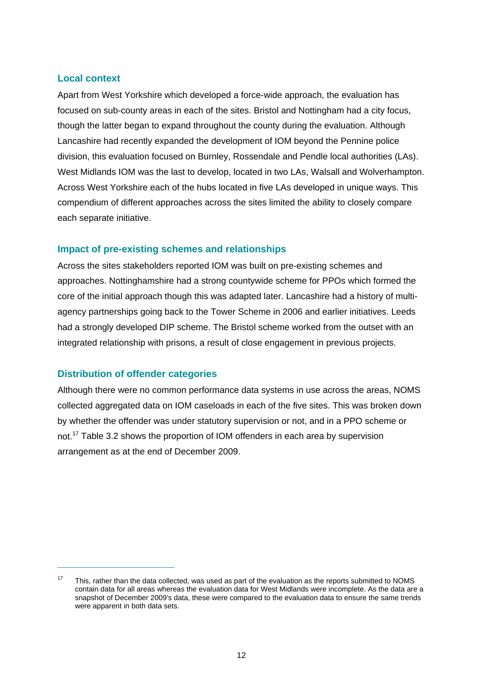#### **Local context**

Apart from West Yorkshire which developed a force-wide approach, the evaluation has focused on sub-county areas in each of the sites. Bristol and Nottingham had a city focus, though the latter began to expand throughout the county during the evaluation. Although Lancashire had recently expanded the development of IOM beyond the Pennine police division, this evaluation focused on Burnley, Rossendale and Pendle local authorities (LAs). West Midlands IOM was the last to develop, located in two LAs, Walsall and Wolverhampton. Across West Yorkshire each of the hubs located in five LAs developed in unique ways. This compendium of different approaches across the sites limited the ability to closely compare each separate initiative.

#### **Impact of pre-existing schemes and relationships**

Across the sites stakeholders reported IOM was built on pre-existing schemes and approaches. Nottinghamshire had a strong countywide scheme for PPOs which formed the core of the initial approach though this was adapted later. Lancashire had a history of multiagency partnerships going back to the Tower Scheme in 2006 and earlier initiatives. Leeds had a strongly developed DIP scheme. The Bristol scheme worked from the outset with an integrated relationship with prisons, a result of close engagement in previous projects.

#### **Distribution of offender categories**

 $\overline{a}$ 

Although there were no common performance data systems in use across the areas, NOMS collected aggregated data on IOM caseloads in each of the five sites. This was broken down by whether the offender was under statutory supervision or not, and in a PPO scheme or not.17 Table 3.2 shows the proportion of IOM offenders in each area by supervision arrangement as at the end of December 2009.

 $17$  This, rather than the data collected, was used as part of the evaluation as the reports submitted to NOMS contain data for all areas whereas the evaluation data for West Midlands were incomplete. As the data are a snapshot of December 2009's data, these were compared to the evaluation data to ensure the same trends were apparent in both data sets.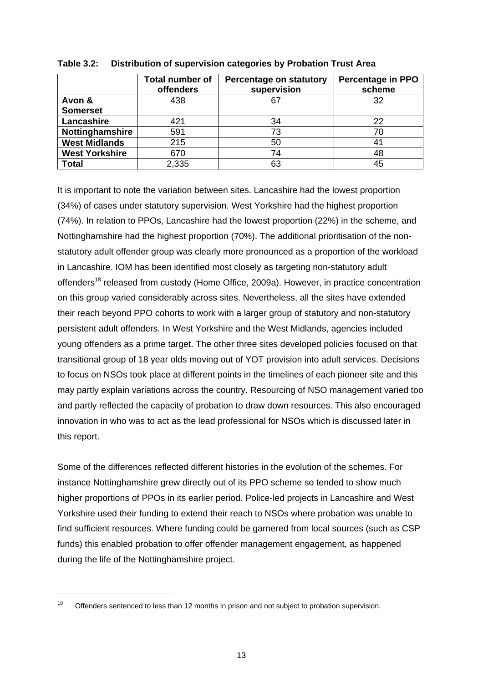|                       | <b>Total number of</b><br>offenders | Percentage on statutory<br>supervision | <b>Percentage in PPO</b><br>scheme |  |
|-----------------------|-------------------------------------|----------------------------------------|------------------------------------|--|
| Avon &                | 438                                 | 67                                     | 32                                 |  |
| <b>Somerset</b>       |                                     |                                        |                                    |  |
| Lancashire            | 421                                 | 34                                     | 22                                 |  |
| Nottinghamshire       | 591                                 | 73                                     | 70                                 |  |
| <b>West Midlands</b>  | 215                                 | 50                                     | 41                                 |  |
| <b>West Yorkshire</b> | 670                                 | 74                                     | 48                                 |  |
| <b>Total</b>          | 2,335                               | 63                                     | 45                                 |  |

<span id="page-23-0"></span>

| Table 3.2: | Distribution of supervision categories by Probation Trust Area |  |  |  |  |
|------------|----------------------------------------------------------------|--|--|--|--|
|------------|----------------------------------------------------------------|--|--|--|--|

It is important to note the variation between sites. Lancashire had the lowest proportion (34%) of cases under statutory supervision. West Yorkshire had the highest proportion (74%). In relation to PPOs, Lancashire had the lowest proportion (22%) in the scheme, and Nottinghamshire had the highest proportion (70%). The additional prioritisation of the nonstatutory adult offender group was clearly more pronounced as a proportion of the workload in Lancashire. IOM has been identified most closely as targeting non-statutory adult offenders<sup>18</sup> released from custody (Home Office, 2009a). However, in practice concentration on this group varied considerably across sites. Nevertheless, all the sites have extended their reach beyond PPO cohorts to work with a larger group of statutory and non-statutory persistent adult offenders. In West Yorkshire and the West Midlands, agencies included young offenders as a prime target. The other three sites developed policies focused on that transitional group of 18 year olds moving out of YOT provision into adult services. Decisions to focus on NSOs took place at different points in the timelines of each pioneer site and this may partly explain variations across the country. Resourcing of NSO management varied too and partly reflected the capacity of probation to draw down resources. This also encouraged innovation in who was to act as the lead professional for NSOs which is discussed later in this report.

Some of the differences reflected different histories in the evolution of the schemes. For instance Nottinghamshire grew directly out of its PPO scheme so tended to show much higher proportions of PPOs in its earlier period. Police-led projects in Lancashire and West Yorkshire used their funding to extend their reach to NSOs where probation was unable to find sufficient resources. Where funding could be garnered from local sources (such as CSP funds) this enabled probation to offer offender management engagement, as happened during the life of the Nottinghamshire project.

<sup>&</sup>lt;sup>18</sup> Offenders sentenced to less than 12 months in prison and not subject to probation supervision.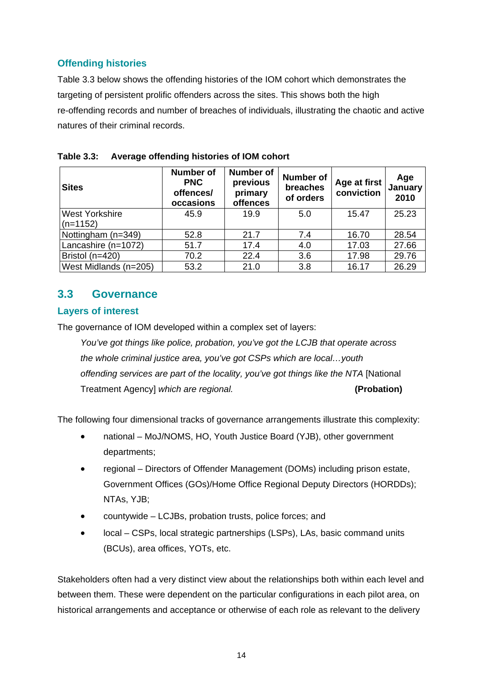### **Offending histories**

Table 3.3 below shows the offending histories of the IOM cohort which demonstrates the targeting of persistent prolific offenders across the sites. This shows both the high re-offending records and number of breaches of individuals, illustrating the chaotic and active natures of their criminal records.

| <b>Sites</b>                        | <b>Number of</b><br><b>PNC</b><br>offences/<br>occasions | <b>Number of</b><br>previous<br>primary<br>offences | <b>Number of</b><br>breaches<br>of orders | Age at first<br>conviction | Age<br>January<br>2010 |
|-------------------------------------|----------------------------------------------------------|-----------------------------------------------------|-------------------------------------------|----------------------------|------------------------|
| <b>West Yorkshire</b><br>$(n=1152)$ | 45.9                                                     | 19.9                                                | 5.0                                       | 15.47                      | 25.23                  |
| Nottingham (n=349)                  | 52.8                                                     | 21.7                                                | 7.4                                       | 16.70                      | 28.54                  |
| Lancashire (n=1072)                 | 51.7                                                     | 17.4                                                | 4.0                                       | 17.03                      | 27.66                  |
| Bristol (n=420)                     | 70.2                                                     | 22.4                                                | 3.6                                       | 17.98                      | 29.76                  |
| West Midlands (n=205)               | 53.2                                                     | 21.0                                                | 3.8                                       | 16.17                      | 26.29                  |

<span id="page-24-1"></span>

### <span id="page-24-0"></span>**3.3 Governance**

#### **Layers of interest**

The governance of IOM developed within a complex set of layers:

*You've got things like police, probation, you've got the LCJB that operate across the whole criminal justice area, you've got CSPs which are local…youth offending services are part of the locality, you've got things like the NTA* [National Treatment Agency] *which are regional.* **(Probation)**

The following four dimensional tracks of governance arrangements illustrate this complexity:

- national MoJ/NOMS, HO, Youth Justice Board (YJB), other government departments;
- regional Directors of Offender Management (DOMs) including prison estate, Government Offices (GOs)/Home Office Regional Deputy Directors (HORDDs); NTAs, YJB;
- countywide LCJBs, probation trusts, police forces; and
- local CSPs, local strategic partnerships (LSPs), LAs, basic command units (BCUs), area offices, YOTs, etc.

Stakeholders often had a very distinct view about the relationships both within each level and between them. These were dependent on the particular configurations in each pilot area, on historical arrangements and acceptance or otherwise of each role as relevant to the delivery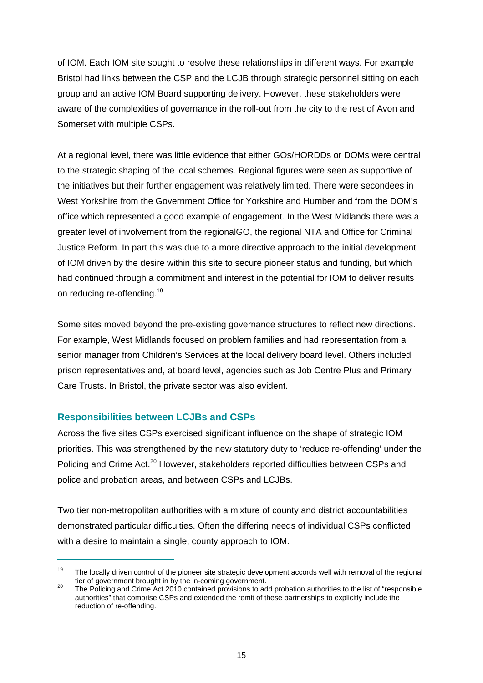of IOM. Each IOM site sought to resolve these relationships in different ways. For example Bristol had links between the CSP and the LCJB through strategic personnel sitting on each group and an active IOM Board supporting delivery. However, these stakeholders were aware of the complexities of governance in the roll-out from the city to the rest of Avon and Somerset with multiple CSPs.

At a regional level, there was little evidence that either GOs/HORDDs or DOMs were central to the strategic shaping of the local schemes. Regional figures were seen as supportive of the initiatives but their further engagement was relatively limited. There were secondees in West Yorkshire from the Government Office for Yorkshire and Humber and from the DOM's office which represented a good example of engagement. In the West Midlands there was a greater level of involvement from the regionalGO, the regional NTA and Office for Criminal Justice Reform. In part this was due to a more directive approach to the initial development of IOM driven by the desire within this site to secure pioneer status and funding, but which had continued through a commitment and interest in the potential for IOM to deliver results on reducing re-offending.<sup>19</sup>

Some sites moved beyond the pre-existing governance structures to reflect new directions. For example, West Midlands focused on problem families and had representation from a senior manager from Children's Services at the local delivery board level. Others included prison representatives and, at board level, agencies such as Job Centre Plus and Primary Care Trusts. In Bristol, the private sector was also evident.

#### **Responsibilities between LCJBs and CSPs**

 $\overline{a}$ 

Across the five sites CSPs exercised significant influence on the shape of strategic IOM priorities. This was strengthened by the new statutory duty to 'reduce re-offending' under the Policing and Crime Act.<sup>20</sup> However, stakeholders reported difficulties between CSPs and police and probation areas, and between CSPs and LCJBs.

Two tier non-metropolitan authorities with a mixture of county and district accountabilities demonstrated particular difficulties. Often the differing needs of individual CSPs conflicted with a desire to maintain a single, county approach to IOM.

<sup>&</sup>lt;sup>19</sup> The locally driven control of the pioneer site strategic development accords well with removal of the regional tier of government brought in by the in-coming government.

tier of government brought in by the in-coming government.<br><sup>20</sup> The Policing and Crime Act 2010 contained provisions to add probation authorities to the list of "responsible authorities" that comprise CSPs and extended the remit of these partnerships to explicitly include the reduction of re-offending.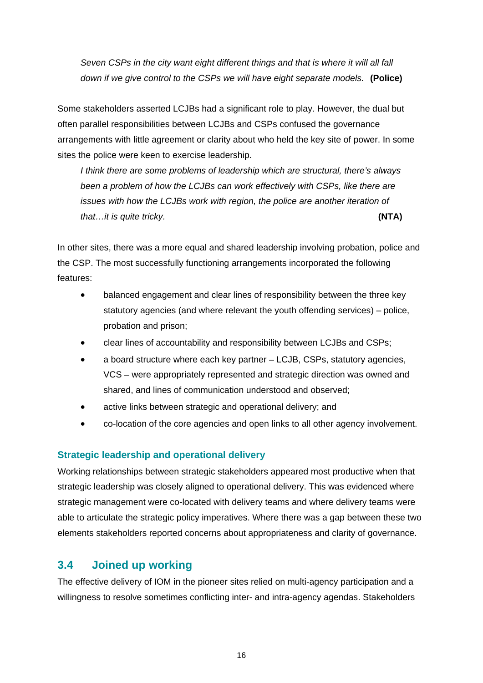*Seven CSPs in the city want eight different things and that is where it will all fall down if we give control to the CSPs we will have eight separate models.* **(Police)**

Some stakeholders asserted LCJBs had a significant role to play. However, the dual but often parallel responsibilities between LCJBs and CSPs confused the governance arrangements with little agreement or clarity about who held the key site of power. In some sites the police were keen to exercise leadership.

*I think there are some problems of leadership which are structural, there's always been a problem of how the LCJBs can work effectively with CSPs, like there are issues with how the LCJBs work with region, the police are another iteration of that…it is quite tricky.* **(NTA)**

In other sites, there was a more equal and shared leadership involving probation, police and the CSP. The most successfully functioning arrangements incorporated the following features:

- balanced engagement and clear lines of responsibility between the three key statutory agencies (and where relevant the youth offending services) – police, probation and prison;
- clear lines of accountability and responsibility between LCJBs and CSPs;
- a board structure where each key partner LCJB, CSPs, statutory agencies, VCS – were appropriately represented and strategic direction was owned and shared, and lines of communication understood and observed;
- active links between strategic and operational delivery; and
- co-location of the core agencies and open links to all other agency involvement.

#### **Strategic leadership and operational delivery**

Working relationships between strategic stakeholders appeared most productive when that strategic leadership was closely aligned to operational delivery. This was evidenced where strategic management were co-located with delivery teams and where delivery teams were able to articulate the strategic policy imperatives. Where there was a gap between these two elements stakeholders reported concerns about appropriateness and clarity of governance.

### <span id="page-26-0"></span>**3.4 Joined up working**

The effective delivery of IOM in the pioneer sites relied on multi-agency participation and a willingness to resolve sometimes conflicting inter- and intra-agency agendas. Stakeholders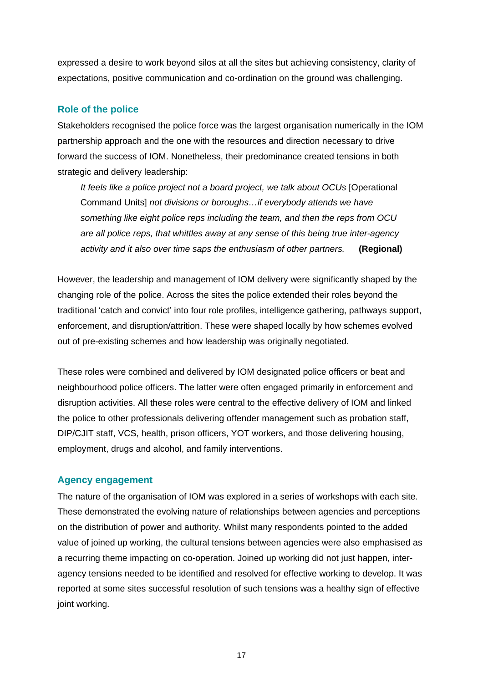expressed a desire to work beyond silos at all the sites but achieving consistency, clarity of expectations, positive communication and co-ordination on the ground was challenging.

#### **Role of the police**

Stakeholders recognised the police force was the largest organisation numerically in the IOM partnership approach and the one with the resources and direction necessary to drive forward the success of IOM. Nonetheless, their predominance created tensions in both strategic and delivery leadership:

*It feels like a police project not a board project, we talk about OCUs* [Operational Command Units] *not divisions or boroughs…if everybody attends we have something like eight police reps including the team, and then the reps from OCU are all police reps, that whittles away at any sense of this being true inter-agency activity and it also over time saps the enthusiasm of other partners.* **(Regional)**

However, the leadership and management of IOM delivery were significantly shaped by the changing role of the police. Across the sites the police extended their roles beyond the traditional 'catch and convict' into four role profiles, intelligence gathering, pathways support, enforcement, and disruption/attrition. These were shaped locally by how schemes evolved out of pre-existing schemes and how leadership was originally negotiated.

These roles were combined and delivered by IOM designated police officers or beat and neighbourhood police officers. The latter were often engaged primarily in enforcement and disruption activities. All these roles were central to the effective delivery of IOM and linked the police to other professionals delivering offender management such as probation staff, DIP/CJIT staff, VCS, health, prison officers, YOT workers, and those delivering housing, employment, drugs and alcohol, and family interventions.

#### **Agency engagement**

The nature of the organisation of IOM was explored in a series of workshops with each site. These demonstrated the evolving nature of relationships between agencies and perceptions on the distribution of power and authority. Whilst many respondents pointed to the added value of joined up working, the cultural tensions between agencies were also emphasised as a recurring theme impacting on co-operation. Joined up working did not just happen, interagency tensions needed to be identified and resolved for effective working to develop. It was reported at some sites successful resolution of such tensions was a healthy sign of effective joint working.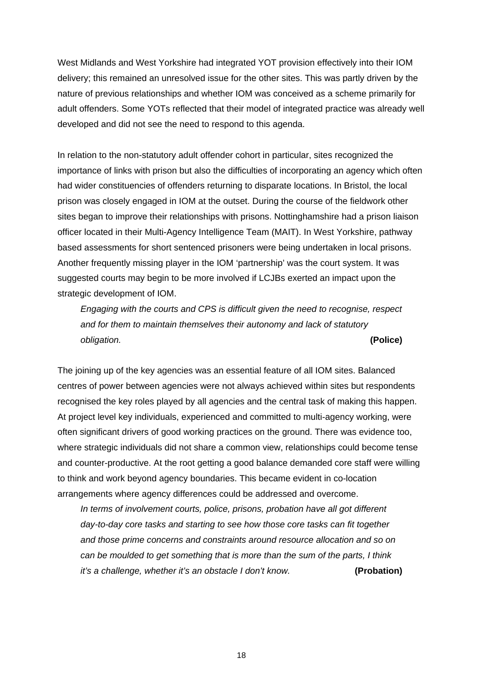West Midlands and West Yorkshire had integrated YOT provision effectively into their IOM delivery; this remained an unresolved issue for the other sites. This was partly driven by the nature of previous relationships and whether IOM was conceived as a scheme primarily for adult offenders. Some YOTs reflected that their model of integrated practice was already well developed and did not see the need to respond to this agenda.

In relation to the non-statutory adult offender cohort in particular, sites recognized the importance of links with prison but also the difficulties of incorporating an agency which often had wider constituencies of offenders returning to disparate locations. In Bristol, the local prison was closely engaged in IOM at the outset. During the course of the fieldwork other sites began to improve their relationships with prisons. Nottinghamshire had a prison liaison officer located in their Multi-Agency Intelligence Team (MAIT). In West Yorkshire, pathway based assessments for short sentenced prisoners were being undertaken in local prisons. Another frequently missing player in the IOM 'partnership' was the court system. It was suggested courts may begin to be more involved if LCJBs exerted an impact upon the strategic development of IOM.

*Engaging with the courts and CPS is difficult given the need to recognise, respect and for them to maintain themselves their autonomy and lack of statutory obligation.* **(Police)**

The joining up of the key agencies was an essential feature of all IOM sites. Balanced centres of power between agencies were not always achieved within sites but respondents recognised the key roles played by all agencies and the central task of making this happen. At project level key individuals, experienced and committed to multi-agency working, were often significant drivers of good working practices on the ground. There was evidence too, where strategic individuals did not share a common view, relationships could become tense and counter-productive. At the root getting a good balance demanded core staff were willing to think and work beyond agency boundaries. This became evident in co-location arrangements where agency differences could be addressed and overcome.

*In terms of involvement courts, police, prisons, probation have all got different day-to-day core tasks and starting to see how those core tasks can fit together and those prime concerns and constraints around resource allocation and so on can be moulded to get something that is more than the sum of the parts, I think it's a challenge, whether it's an obstacle I don't know.* **(Probation)**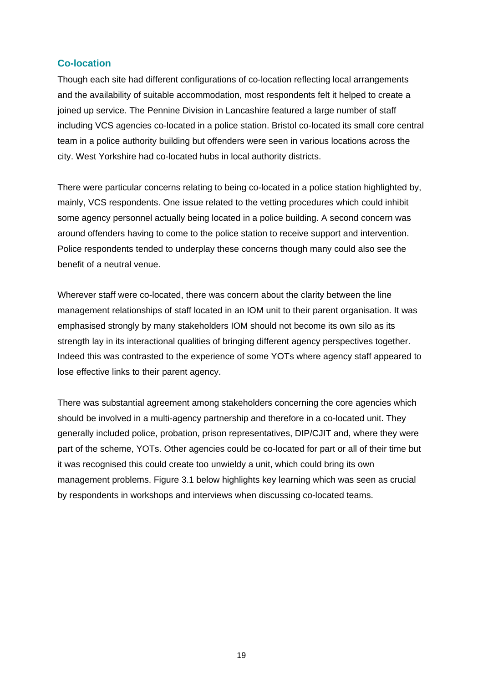#### **Co-location**

Though each site had different configurations of co-location reflecting local arrangements and the availability of suitable accommodation, most respondents felt it helped to create a joined up service. The Pennine Division in Lancashire featured a large number of staff including VCS agencies co-located in a police station. Bristol co-located its small core central team in a police authority building but offenders were seen in various locations across the city. West Yorkshire had co-located hubs in local authority districts.

There were particular concerns relating to being co-located in a police station highlighted by, mainly, VCS respondents. One issue related to the vetting procedures which could inhibit some agency personnel actually being located in a police building. A second concern was around offenders having to come to the police station to receive support and intervention. Police respondents tended to underplay these concerns though many could also see the benefit of a neutral venue.

Wherever staff were co-located, there was concern about the clarity between the line management relationships of staff located in an IOM unit to their parent organisation. It was emphasised strongly by many stakeholders IOM should not become its own silo as its strength lay in its interactional qualities of bringing different agency perspectives together. Indeed this was contrasted to the experience of some YOTs where agency staff appeared to lose effective links to their parent agency.

There was substantial agreement among stakeholders concerning the core agencies which should be involved in a multi-agency partnership and therefore in a co-located unit. They generally included police, probation, prison representatives, DIP/CJIT and, where they were part of the scheme, YOTs. Other agencies could be co-located for part or all of their time but it was recognised this could create too unwieldy a unit, which could bring its own management problems. Figure 3.1 below highlights key learning which was seen as crucial by respondents in workshops and interviews when discussing co-located teams.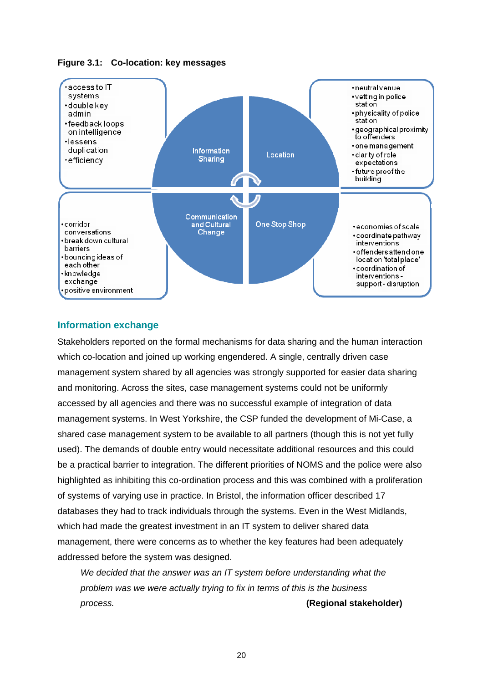<span id="page-30-0"></span>



#### **Information exchange**

Stakeholders reported on the formal mechanisms for data sharing and the human interaction which co-location and joined up working engendered. A single, centrally driven case management system shared by all agencies was strongly supported for easier data sharing and monitoring. Across the sites, case management systems could not be uniformly accessed by all agencies and there was no successful example of integration of data management systems. In West Yorkshire, the CSP funded the development of Mi-Case, a shared case management system to be available to all partners (though this is not yet fully used). The demands of double entry would necessitate additional resources and this could be a practical barrier to integration. The different priorities of NOMS and the police were also highlighted as inhibiting this co-ordination process and this was combined with a proliferation of systems of varying use in practice. In Bristol, the information officer described 17 databases they had to track individuals through the systems. Even in the West Midlands, which had made the greatest investment in an IT system to deliver shared data management, there were concerns as to whether the key features had been adequately addressed before the system was designed.

*We decided that the answer was an IT system before understanding what the problem was we were actually trying to fix in terms of this is the business process.* **(Regional stakeholder)**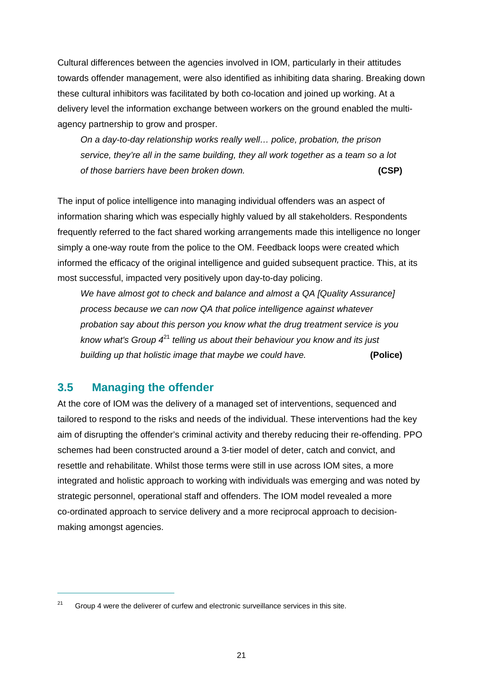Cultural differences between the agencies involved in IOM, particularly in their attitudes towards offender management, were also identified as inhibiting data sharing. Breaking down these cultural inhibitors was facilitated by both co-location and joined up working. At a delivery level the information exchange between workers on the ground enabled the multiagency partnership to grow and prosper.

*On a day-to-day relationship works really well… police, probation, the prison service, they're all in the same building, they all work together as a team so a lot of those barriers have been broken down.* **(CSP)**

The input of police intelligence into managing individual offenders was an aspect of information sharing which was especially highly valued by all stakeholders. Respondents frequently referred to the fact shared working arrangements made this intelligence no longer simply a one-way route from the police to the OM. Feedback loops were created which informed the efficacy of the original intelligence and guided subsequent practice. This, at its most successful, impacted very positively upon day-to-day policing.

*We have almost got to check and balance and almost a QA [Quality Assurance] process because we can now QA that police intelligence against whatever probation say about this person you know what the drug treatment service is you know what's Group 4*<sup>21</sup> *telling us about their behaviour you know and its just building up that holistic image that maybe we could have.* **(Police)**

## <span id="page-31-0"></span>**3.5 Managing the offender**

 $\overline{a}$ 

At the core of IOM was the delivery of a managed set of interventions, sequenced and tailored to respond to the risks and needs of the individual. These interventions had the key aim of disrupting the offender's criminal activity and thereby reducing their re-offending. PPO schemes had been constructed around a 3-tier model of deter, catch and convict, and resettle and rehabilitate. Whilst those terms were still in use across IOM sites, a more integrated and holistic approach to working with individuals was emerging and was noted by strategic personnel, operational staff and offenders. The IOM model revealed a more co-ordinated approach to service delivery and a more reciprocal approach to decisionmaking amongst agencies.

 $21$  Group 4 were the deliverer of curfew and electronic surveillance services in this site.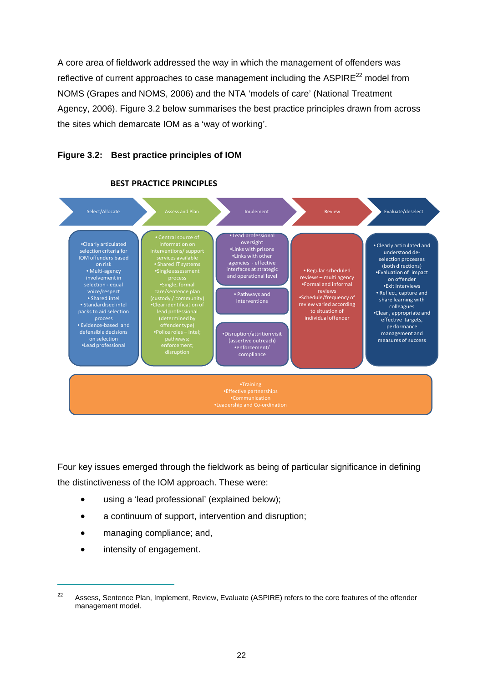A core area of fieldwork addressed the way in which the management of offenders was reflective of current approaches to case management including the  $ASPIRE<sup>22</sup>$  model from NOMS (Grapes and NOMS, 2006) and the NTA 'models of care' (National Treatment Agency, 2006). Figure 3.2 below summarises the best practice principles drawn from across the sites which demarcate IOM as a 'way of working'.

#### <span id="page-32-0"></span>**Figure 3.2: Best practice principles of IOM**



#### **BEST PRACTICE PRINCIPLES**

Four key issues emerged through the fieldwork as being of particular significance in defining the distinctiveness of the IOM approach. These were:

- using a 'lead professional' (explained below);
- a continuum of support, intervention and disruption;
- managing compliance; and,
- intensity of engagement.

<sup>&</sup>lt;sup>22</sup> Assess, Sentence Plan, Implement, Review, Evaluate (ASPIRE) refers to the core features of the offender management model.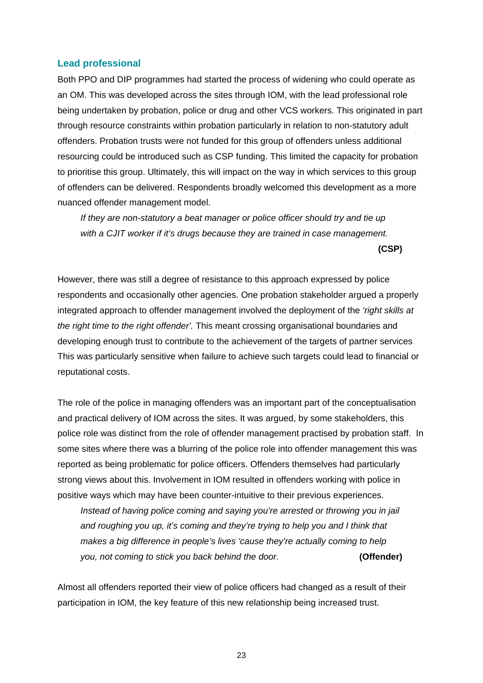#### **Lead professional**

Both PPO and DIP programmes had started the process of widening who could operate as an OM. This was developed across the sites through IOM, with the lead professional role being undertaken by probation, police or drug and other VCS workers. This originated in part through resource constraints within probation particularly in relation to non-statutory adult offenders. Probation trusts were not funded for this group of offenders unless additional resourcing could be introduced such as CSP funding. This limited the capacity for probation to prioritise this group. Ultimately, this will impact on the way in which services to this group of offenders can be delivered. Respondents broadly welcomed this development as a more nuanced offender management model.

*If they are non-statutory a beat manager or police officer should try and tie up with a CJIT worker if it's drugs because they are trained in case management.* 

**(CSP)**

However, there was still a degree of resistance to this approach expressed by police respondents and occasionally other agencies. One probation stakeholder argued a properly integrated approach to offender management involved the deployment of the *'right skills at the right time to the right offender'.* This meant crossing organisational boundaries and developing enough trust to contribute to the achievement of the targets of partner services. This was particularly sensitive when failure to achieve such targets could lead to financial or reputational costs.

The role of the police in managing offenders was an important part of the conceptualisation and practical delivery of IOM across the sites. It was argued, by some stakeholders, this police role was distinct from the role of offender management practised by probation staff. In some sites where there was a blurring of the police role into offender management this was reported as being problematic for police officers. Offenders themselves had particularly strong views about this. Involvement in IOM resulted in offenders working with police in positive ways which may have been counter-intuitive to their previous experiences.

*Instead of having police coming and saying you're arrested or throwing you in jail and roughing you up, it's coming and they're trying to help you and I think that makes a big difference in people's lives 'cause they're actually coming to help you, not coming to stick you back behind the door.* **(Offender)**

Almost all offenders reported their view of police officers had changed as a result of their participation in IOM, the key feature of this new relationship being increased trust.

23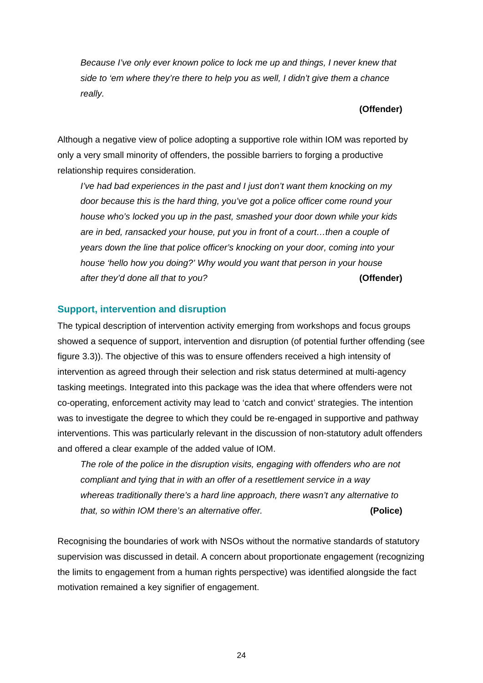*Because I've only ever known police to lock me up and things, I never knew that side to 'em where they're there to help you as well, I didn't give them a chance really.* 

#### **(Offender)**

Although a negative view of police adopting a supportive role within IOM was reported by only a very small minority of offenders, the possible barriers to forging a productive relationship requires consideration.

*I've had bad experiences in the past and I just don't want them knocking on my door because this is the hard thing, you've got a police officer come round your house who's locked you up in the past, smashed your door down while your kids are in bed, ransacked your house, put you in front of a court…then a couple of years down the line that police officer's knocking on your door, coming into your house 'hello how you doing?' Why would you want that person in your house after they'd done all that to you?* **(Offender)**

#### **Support, intervention and disruption**

The typical description of intervention activity emerging from workshops and focus groups showed a sequence of support, intervention and disruption (of potential further offending (see figure 3.3)). The objective of this was to ensure offenders received a high intensity of intervention as agreed through their selection and risk status determined at multi-agency tasking meetings. Integrated into this package was the idea that where offenders were not co-operating, enforcement activity may lead to 'catch and convict' strategies. The intention was to investigate the degree to which they could be re-engaged in supportive and pathway interventions. This was particularly relevant in the discussion of non-statutory adult offenders and offered a clear example of the added value of IOM.

*The role of the police in the disruption visits, engaging with offenders who are not compliant and tying that in with an offer of a resettlement service in a way whereas traditionally there's a hard line approach, there wasn't any alternative to that, so within IOM there's an alternative offer.* **(Police)**

Recognising the boundaries of work with NSOs without the normative standards of statutory supervision was discussed in detail. A concern about proportionate engagement (recognizing the limits to engagement from a human rights perspective) was identified alongside the fact motivation remained a key signifier of engagement.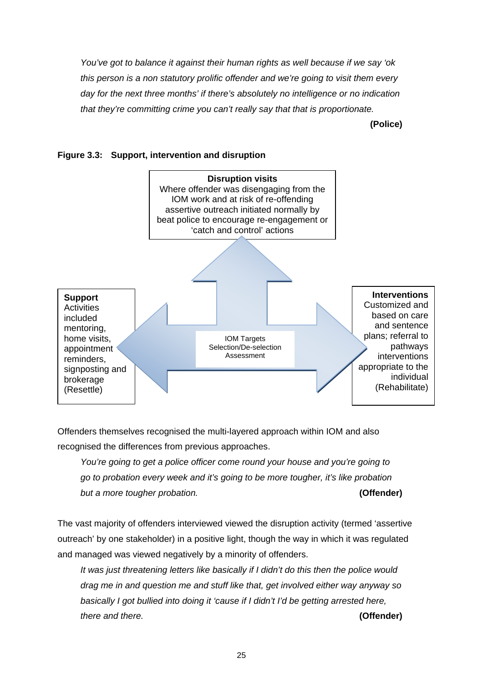*You've got to balance it against their human rights as well because if we say 'ok this person is a non statutory prolific offender and we're going to visit them every day for the next three months' if there's absolutely no intelligence or no indication that they're committing crime you can't really say that that is proportionate.* 

**(Police)**

<span id="page-35-0"></span>



Offenders themselves recognised the multi-layered approach within IOM and also recognised the differences from previous approaches.

*You're going to get a police officer come round your house and you're going to go to probation every week and it's going to be more tougher, it's like probation but a more tougher probation.* **(Offender)**

The vast majority of offenders interviewed viewed the disruption activity (termed 'assertive outreach' by one stakeholder) in a positive light, though the way in which it was regulated and managed was viewed negatively by a minority of offenders.

*It was just threatening letters like basically if I didn't do this then the police would drag me in and question me and stuff like that, get involved either way anyway so basically I got bullied into doing it 'cause if I didn't I'd be getting arrested here, there and there.* **(Offender)**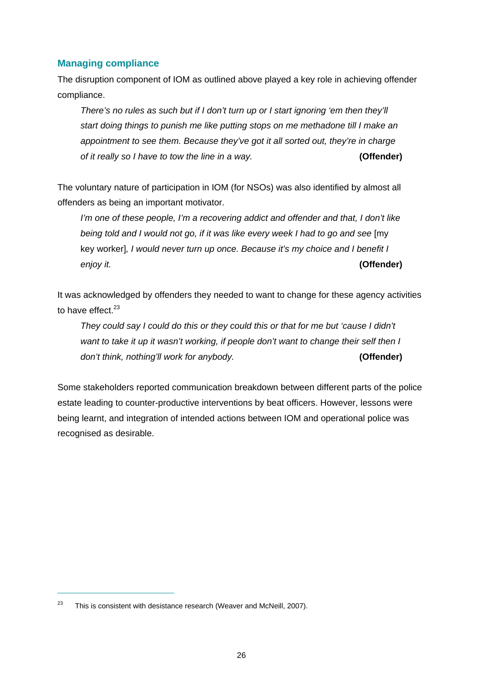#### **Managing compliance**

The disruption component of IOM as outlined above played a key role in achieving offender compliance.

*There's no rules as such but if I don't turn up or I start ignoring 'em then they'll start doing things to punish me like putting stops on me methadone till I make an appointment to see them. Because they've got it all sorted out, they're in charge of it really so I have to tow the line in a way.* **(Offender)**

The voluntary nature of participation in IOM (for NSOs) was also identified by almost all offenders as being an important motivator.

*I'm one of these people, I'm a recovering addict and offender and that, I don't like being told and I would not go, if it was like every week I had to go and see* [my key worker]*, I would never turn up once. Because it's my choice and I benefit I enjoy it.* **(Offender)**

It was acknowledged by offenders they needed to want to change for these agency activities to have effect  $^{23}$ 

*They could say I could do this or they could this or that for me but 'cause I didn't want to take it up it wasn't working, if people don't want to change their self then I don't think, nothing'll work for anybody.* **(Offender)**

Some stakeholders reported communication breakdown between different parts of the police estate leading to counter-productive interventions by beat officers. However, lessons were being learnt, and integration of intended actions between IOM and operational police was recognised as desirable.

 $23$  This is consistent with desistance research (Weaver and McNeill, 2007).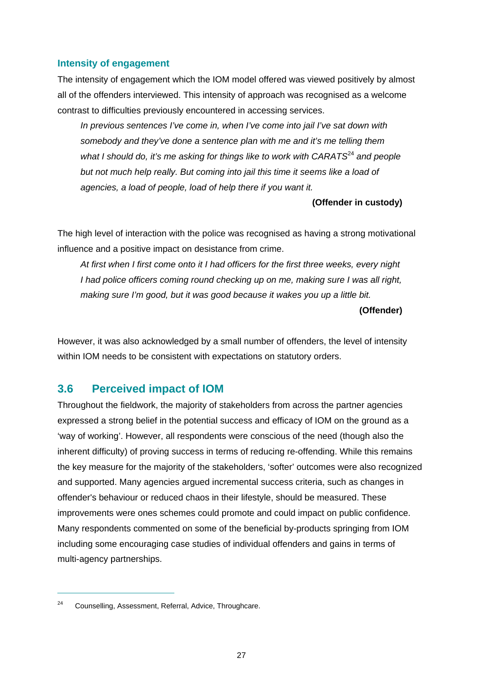#### **Intensity of engagement**

The intensity of engagement which the IOM model offered was viewed positively by almost all of the offenders interviewed. This intensity of approach was recognised as a welcome contrast to difficulties previously encountered in accessing services.

*In previous sentences I've come in, when I've come into jail I've sat down with somebody and they've done a sentence plan with me and it's me telling them what I should do, it's me asking for things like to work with CARATS<sup>24</sup> and people but not much help really. But coming into jail this time it seems like a load of agencies, a load of people, load of help there if you want it.* 

**(Offender in custody)** 

The high level of interaction with the police was recognised as having a strong motivational influence and a positive impact on desistance from crime.

*At first when I first come onto it I had officers for the first three weeks, every night I had police officers coming round checking up on me, making sure I was all right, making sure I'm good, but it was good because it wakes you up a little bit.* 

#### **(Offender)**

However, it was also acknowledged by a small number of offenders, the level of intensity within IOM needs to be consistent with expectations on statutory orders.

### <span id="page-37-0"></span>**3.6 Perceived impact of IOM**

Throughout the fieldwork, the majority of stakeholders from across the partner agencies expressed a strong belief in the potential success and efficacy of IOM on the ground as a 'way of working'. However, all respondents were conscious of the need (though also the inherent difficulty) of proving success in terms of reducing re-offending. While this remains the key measure for the majority of the stakeholders, 'softer' outcomes were also recognized and supported. Many agencies argued incremental success criteria, such as changes in offender's behaviour or reduced chaos in their lifestyle, should be measured. These improvements were ones schemes could promote and could impact on public confidence. Many respondents commented on some of the beneficial by-products springing from IOM including some encouraging case studies of individual offenders and gains in terms of multi-agency partnerships.

<sup>&</sup>lt;sup>24</sup> Counselling, Assessment, Referral, Advice, Throughcare.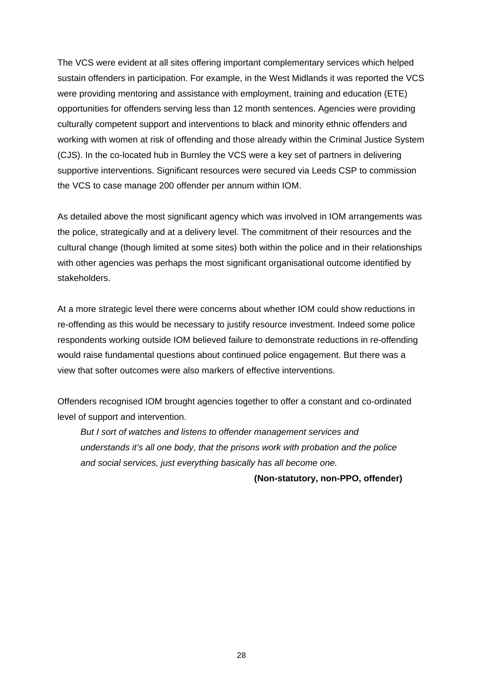The VCS were evident at all sites offering important complementary services which helped sustain offenders in participation. For example, in the West Midlands it was reported the VCS were providing mentoring and assistance with employment, training and education (ETE) opportunities for offenders serving less than 12 month sentences. Agencies were providing culturally competent support and interventions to black and minority ethnic offenders and working with women at risk of offending and those already within the Criminal Justice System (CJS). In the co-located hub in Burnley the VCS were a key set of partners in delivering supportive interventions. Significant resources were secured via Leeds CSP to commission the VCS to case manage 200 offender per annum within IOM.

As detailed above the most significant agency which was involved in IOM arrangements was the police, strategically and at a delivery level. The commitment of their resources and the cultural change (though limited at some sites) both within the police and in their relationships with other agencies was perhaps the most significant organisational outcome identified by stakeholders.

At a more strategic level there were concerns about whether IOM could show reductions in re-offending as this would be necessary to justify resource investment. Indeed some police respondents working outside IOM believed failure to demonstrate reductions in re-offending would raise fundamental questions about continued police engagement. But there was a view that softer outcomes were also markers of effective interventions.

Offenders recognised IOM brought agencies together to offer a constant and co-ordinated level of support and intervention.

*But I sort of watches and listens to offender management services and understands it's all one body, that the prisons work with probation and the police and social services, just everything basically has all become one.* 

**(Non-statutory, non-PPO, offender)**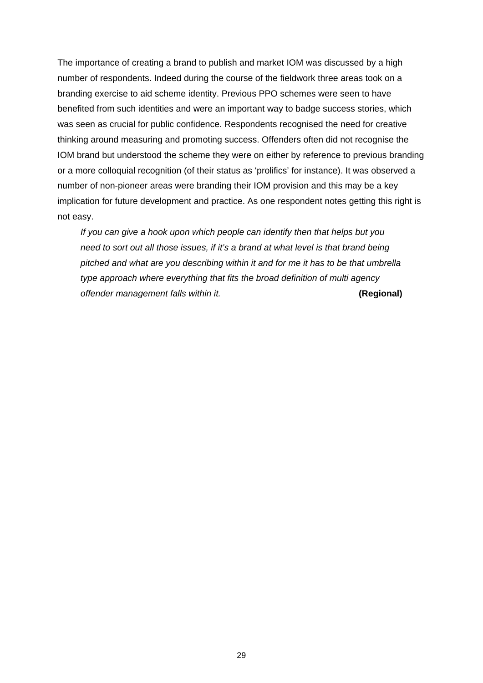The importance of creating a brand to publish and market IOM was discussed by a high number of respondents. Indeed during the course of the fieldwork three areas took on a branding exercise to aid scheme identity. Previous PPO schemes were seen to have benefited from such identities and were an important way to badge success stories, which was seen as crucial for public confidence. Respondents recognised the need for creative thinking around measuring and promoting success. Offenders often did not recognise the IOM brand but understood the scheme they were on either by reference to previous branding or a more colloquial recognition (of their status as 'prolifics' for instance). It was observed a number of non-pioneer areas were branding their IOM provision and this may be a key implication for future development and practice. As one respondent notes getting this right is not easy.

*If you can give a hook upon which people can identify then that helps but you need to sort out all those issues, if it's a brand at what level is that brand being pitched and what are you describing within it and for me it has to be that umbrella type approach where everything that fits the broad definition of multi agency offender management falls within it.* **(Regional)**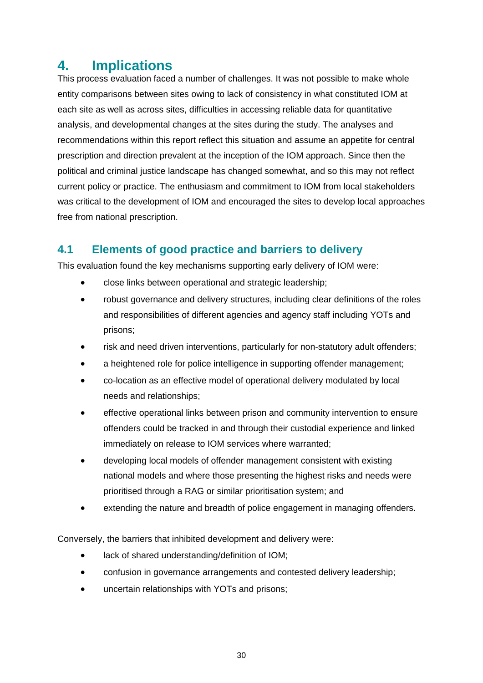## <span id="page-40-0"></span>**4. Implications**

This process evaluation faced a number of challenges. It was not possible to make whole entity comparisons between sites owing to lack of consistency in what constituted IOM at each site as well as across sites, difficulties in accessing reliable data for quantitative analysis, and developmental changes at the sites during the study. The analyses and recommendations within this report reflect this situation and assume an appetite for central prescription and direction prevalent at the inception of the IOM approach. Since then the political and criminal justice landscape has changed somewhat, and so this may not reflect current policy or practice. The enthusiasm and commitment to IOM from local stakeholders was critical to the development of IOM and encouraged the sites to develop local approaches free from national prescription.

## <span id="page-40-1"></span>**4.1 Elements of good practice and barriers to delivery**

This evaluation found the key mechanisms supporting early delivery of IOM were:

- close links between operational and strategic leadership;
- robust governance and delivery structures, including clear definitions of the roles and responsibilities of different agencies and agency staff including YOTs and prisons;
- risk and need driven interventions, particularly for non-statutory adult offenders;
- a heightened role for police intelligence in supporting offender management;
- co-location as an effective model of operational delivery modulated by local needs and relationships;
- effective operational links between prison and community intervention to ensure offenders could be tracked in and through their custodial experience and linked immediately on release to IOM services where warranted;
- developing local models of offender management consistent with existing national models and where those presenting the highest risks and needs were prioritised through a RAG or similar prioritisation system; and
- extending the nature and breadth of police engagement in managing offenders.

Conversely, the barriers that inhibited development and delivery were:

- lack of shared understanding/definition of IOM;
- confusion in governance arrangements and contested delivery leadership;
- uncertain relationships with YOTs and prisons;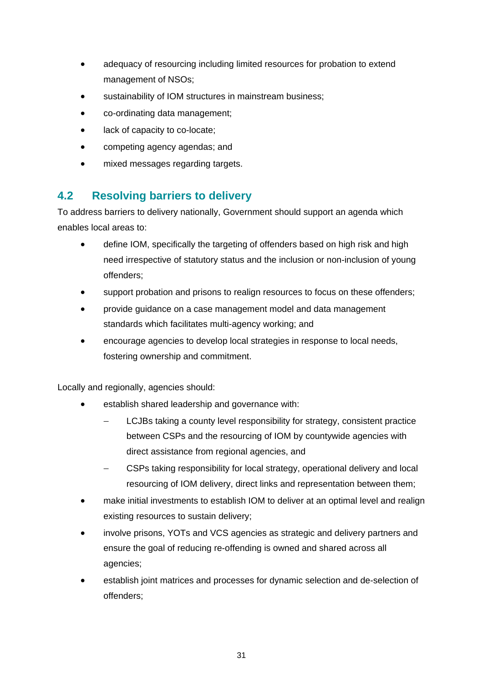- adequacy of resourcing including limited resources for probation to extend management of NSOs;
- sustainability of IOM structures in mainstream business;
- co-ordinating data management;
- lack of capacity to co-locate;
- competing agency agendas; and
- mixed messages regarding targets.

## <span id="page-41-0"></span>**4.2 Resolving barriers to delivery**

To address barriers to delivery nationally, Government should support an agenda which enables local areas to:

- define IOM, specifically the targeting of offenders based on high risk and high need irrespective of statutory status and the inclusion or non-inclusion of young offenders;
- support probation and prisons to realign resources to focus on these offenders;
- provide guidance on a case management model and data management standards which facilitates multi-agency working; and
- encourage agencies to develop local strategies in response to local needs, fostering ownership and commitment.

Locally and regionally, agencies should:

- establish shared leadership and governance with:
	- LCJBs taking a county level responsibility for strategy, consistent practice between CSPs and the resourcing of IOM by countywide agencies with direct assistance from regional agencies, and
	- CSPs taking responsibility for local strategy, operational delivery and local resourcing of IOM delivery, direct links and representation between them;
- make initial investments to establish IOM to deliver at an optimal level and realign existing resources to sustain delivery;
- involve prisons, YOTs and VCS agencies as strategic and delivery partners and ensure the goal of reducing re-offending is owned and shared across all agencies;
- establish joint matrices and processes for dynamic selection and de-selection of offenders;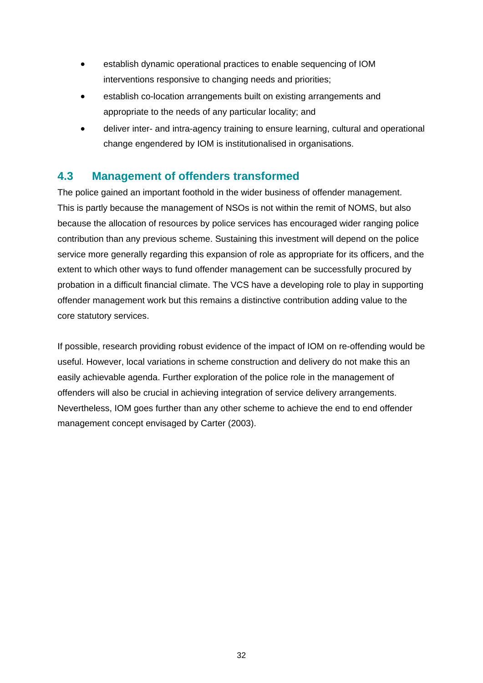- establish dynamic operational practices to enable sequencing of IOM interventions responsive to changing needs and priorities;
- establish co-location arrangements built on existing arrangements and appropriate to the needs of any particular locality; and
- deliver inter- and intra-agency training to ensure learning, cultural and operational change engendered by IOM is institutionalised in organisations.

## <span id="page-42-0"></span>**4.3 Management of offenders transformed**

The police gained an important foothold in the wider business of offender management. This is partly because the management of NSOs is not within the remit of NOMS, but also because the allocation of resources by police services has encouraged wider ranging police contribution than any previous scheme. Sustaining this investment will depend on the police service more generally regarding this expansion of role as appropriate for its officers, and the extent to which other ways to fund offender management can be successfully procured by probation in a difficult financial climate. The VCS have a developing role to play in supporting offender management work but this remains a distinctive contribution adding value to the core statutory services.

If possible, research providing robust evidence of the impact of IOM on re-offending would be useful. However, local variations in scheme construction and delivery do not make this an easily achievable agenda. Further exploration of the police role in the management of offenders will also be crucial in achieving integration of service delivery arrangements. Nevertheless, IOM goes further than any other scheme to achieve the end to end offender management concept envisaged by Carter (2003).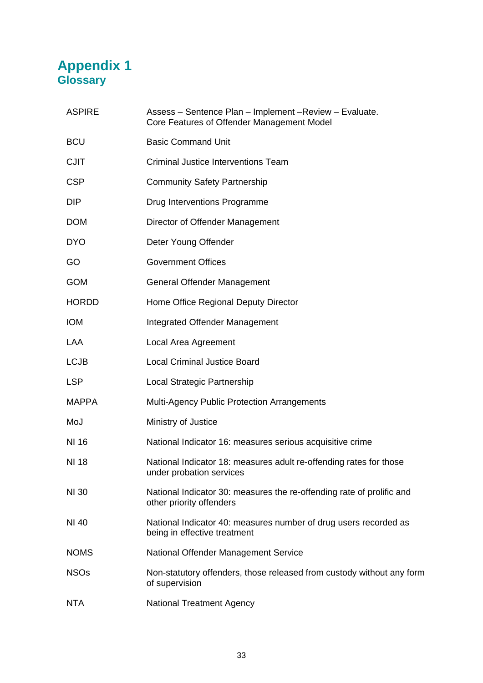## <span id="page-43-1"></span><span id="page-43-0"></span>**Appendix 1 Glossary**

| <b>ASPIRE</b> | Assess - Sentence Plan - Implement - Review - Evaluate.<br>Core Features of Offender Management Model |
|---------------|-------------------------------------------------------------------------------------------------------|
| <b>BCU</b>    | <b>Basic Command Unit</b>                                                                             |
| <b>CJIT</b>   | Criminal Justice Interventions Team                                                                   |
| <b>CSP</b>    | <b>Community Safety Partnership</b>                                                                   |
| <b>DIP</b>    | Drug Interventions Programme                                                                          |
| <b>DOM</b>    | Director of Offender Management                                                                       |
| <b>DYO</b>    | Deter Young Offender                                                                                  |
| GO            | <b>Government Offices</b>                                                                             |
| <b>GOM</b>    | <b>General Offender Management</b>                                                                    |
| <b>HORDD</b>  | Home Office Regional Deputy Director                                                                  |
| <b>IOM</b>    | Integrated Offender Management                                                                        |
| LAA           | Local Area Agreement                                                                                  |
| <b>LCJB</b>   | <b>Local Criminal Justice Board</b>                                                                   |
| <b>LSP</b>    | Local Strategic Partnership                                                                           |
| <b>MAPPA</b>  | <b>Multi-Agency Public Protection Arrangements</b>                                                    |
| MoJ           | Ministry of Justice                                                                                   |
| NI 16         | National Indicator 16: measures serious acquisitive crime                                             |
| NI 18         | National Indicator 18: measures adult re-offending rates for those<br>under probation services        |
| <b>NI 30</b>  | National Indicator 30: measures the re-offending rate of prolific and<br>other priority offenders     |
| NI 40         | National Indicator 40: measures number of drug users recorded as<br>being in effective treatment      |
| <b>NOMS</b>   | National Offender Management Service                                                                  |
| <b>NSOs</b>   | Non-statutory offenders, those released from custody without any form<br>of supervision               |
| <b>NTA</b>    | <b>National Treatment Agency</b>                                                                      |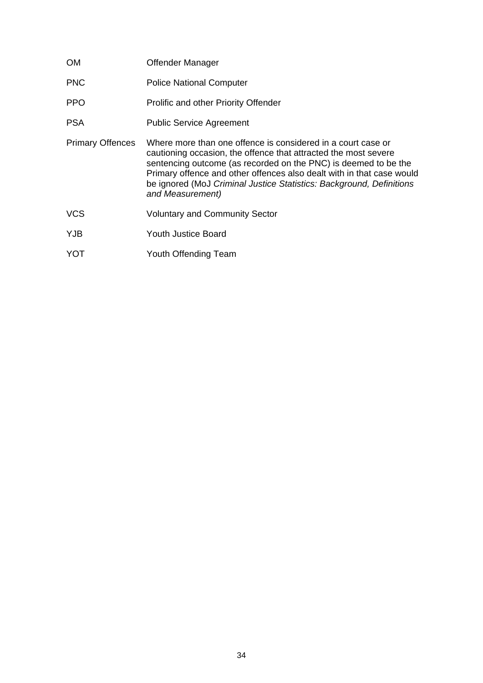| OM.                     | Offender Manager                                                                                                                                                                                                                                                                                                                                                        |
|-------------------------|-------------------------------------------------------------------------------------------------------------------------------------------------------------------------------------------------------------------------------------------------------------------------------------------------------------------------------------------------------------------------|
| <b>PNC</b>              | <b>Police National Computer</b>                                                                                                                                                                                                                                                                                                                                         |
| <b>PPO</b>              | <b>Prolific and other Priority Offender</b>                                                                                                                                                                                                                                                                                                                             |
| <b>PSA</b>              | <b>Public Service Agreement</b>                                                                                                                                                                                                                                                                                                                                         |
| <b>Primary Offences</b> | Where more than one offence is considered in a court case or<br>cautioning occasion, the offence that attracted the most severe<br>sentencing outcome (as recorded on the PNC) is deemed to be the<br>Primary offence and other offences also dealt with in that case would<br>be ignored (MoJ Criminal Justice Statistics: Background, Definitions<br>and Measurement) |
| <b>VCS</b>              | <b>Voluntary and Community Sector</b>                                                                                                                                                                                                                                                                                                                                   |
| <b>YJB</b>              | Youth Justice Board                                                                                                                                                                                                                                                                                                                                                     |
| <b>YOT</b>              | Youth Offending Team                                                                                                                                                                                                                                                                                                                                                    |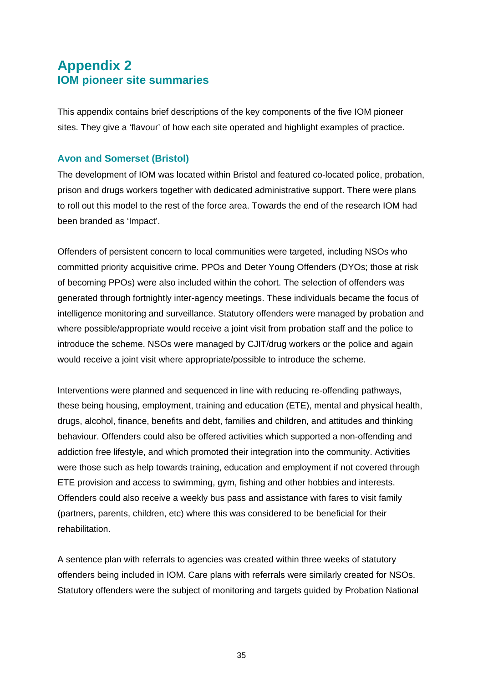## <span id="page-45-1"></span><span id="page-45-0"></span>**Appendix 2 IOM pioneer site summaries**

This appendix contains brief descriptions of the key components of the five IOM pioneer sites. They give a 'flavour' of how each site operated and highlight examples of practice.

#### **Avon and Somerset (Bristol)**

The development of IOM was located within Bristol and featured co-located police, probation, prison and drugs workers together with dedicated administrative support. There were plans to roll out this model to the rest of the force area. Towards the end of the research IOM had been branded as 'Impact'.

Offenders of persistent concern to local communities were targeted, including NSOs who committed priority acquisitive crime. PPOs and Deter Young Offenders (DYOs; those at risk of becoming PPOs) were also included within the cohort. The selection of offenders was generated through fortnightly inter-agency meetings. These individuals became the focus of intelligence monitoring and surveillance. Statutory offenders were managed by probation and where possible/appropriate would receive a joint visit from probation staff and the police to introduce the scheme. NSOs were managed by CJIT/drug workers or the police and again would receive a joint visit where appropriate/possible to introduce the scheme.

Interventions were planned and sequenced in line with reducing re-offending pathways, these being housing, employment, training and education (ETE), mental and physical health, drugs, alcohol, finance, benefits and debt, families and children, and attitudes and thinking behaviour. Offenders could also be offered activities which supported a non-offending and addiction free lifestyle, and which promoted their integration into the community. Activities were those such as help towards training, education and employment if not covered through ETE provision and access to swimming, gym, fishing and other hobbies and interests. Offenders could also receive a weekly bus pass and assistance with fares to visit family (partners, parents, children, etc) where this was considered to be beneficial for their rehabilitation.

A sentence plan with referrals to agencies was created within three weeks of statutory offenders being included in IOM. Care plans with referrals were similarly created for NSOs. Statutory offenders were the subject of monitoring and targets guided by Probation National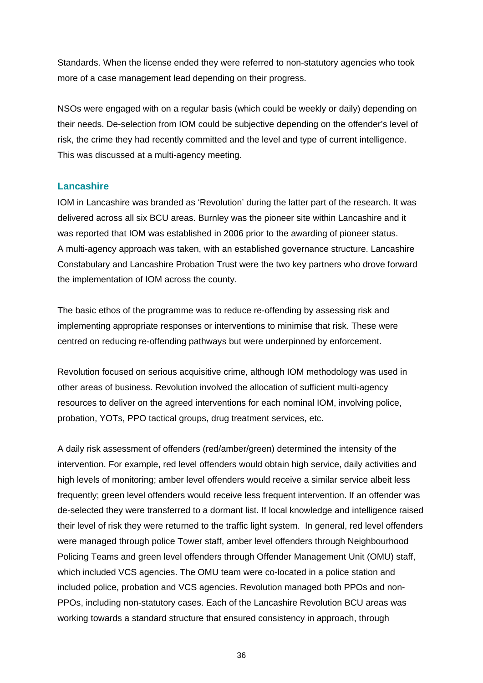Standards. When the license ended they were referred to non-statutory agencies who took more of a case management lead depending on their progress.

NSOs were engaged with on a regular basis (which could be weekly or daily) depending on their needs. De-selection from IOM could be subjective depending on the offender's level of risk, the crime they had recently committed and the level and type of current intelligence. This was discussed at a multi-agency meeting.

#### **Lancashire**

IOM in Lancashire was branded as 'Revolution' during the latter part of the research. It was delivered across all six BCU areas. Burnley was the pioneer site within Lancashire and it was reported that IOM was established in 2006 prior to the awarding of pioneer status. A multi-agency approach was taken, with an established governance structure. Lancashire Constabulary and Lancashire Probation Trust were the two key partners who drove forward the implementation of IOM across the county.

The basic ethos of the programme was to reduce re-offending by assessing risk and implementing appropriate responses or interventions to minimise that risk. These were centred on reducing re-offending pathways but were underpinned by enforcement.

Revolution focused on serious acquisitive crime, although IOM methodology was used in other areas of business. Revolution involved the allocation of sufficient multi-agency resources to deliver on the agreed interventions for each nominal IOM, involving police, probation, YOTs, PPO tactical groups, drug treatment services, etc.

A daily risk assessment of offenders (red/amber/green) determined the intensity of the intervention. For example, red level offenders would obtain high service, daily activities and high levels of monitoring; amber level offenders would receive a similar service albeit less frequently; green level offenders would receive less frequent intervention. If an offender was de-selected they were transferred to a dormant list. If local knowledge and intelligence raised their level of risk they were returned to the traffic light system. In general, red level offenders were managed through police Tower staff, amber level offenders through Neighbourhood Policing Teams and green level offenders through Offender Management Unit (OMU) staff, which included VCS agencies. The OMU team were co-located in a police station and included police, probation and VCS agencies. Revolution managed both PPOs and non-PPOs, including non-statutory cases. Each of the Lancashire Revolution BCU areas was working towards a standard structure that ensured consistency in approach, through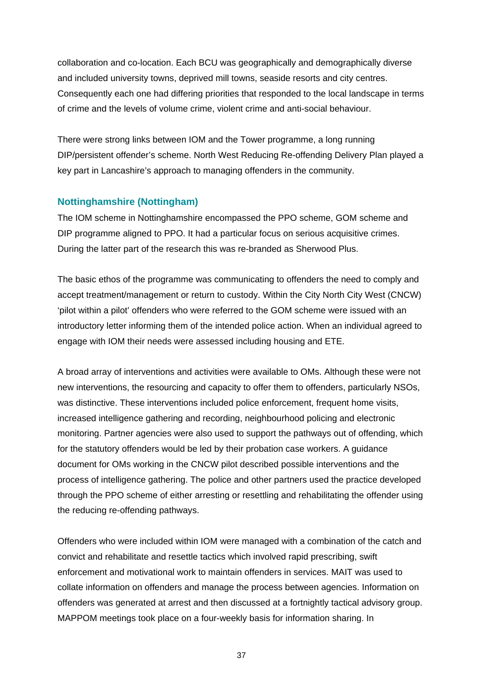collaboration and co-location. Each BCU was geographically and demographically diverse and included university towns, deprived mill towns, seaside resorts and city centres. Consequently each one had differing priorities that responded to the local landscape in terms of crime and the levels of volume crime, violent crime and anti-social behaviour.

There were strong links between IOM and the Tower programme, a long running DIP/persistent offender's scheme. North West Reducing Re-offending Delivery Plan played a key part in Lancashire's approach to managing offenders in the community.

#### **Nottinghamshire (Nottingham)**

The IOM scheme in Nottinghamshire encompassed the PPO scheme, GOM scheme and DIP programme aligned to PPO. It had a particular focus on serious acquisitive crimes. During the latter part of the research this was re-branded as Sherwood Plus.

The basic ethos of the programme was communicating to offenders the need to comply and accept treatment/management or return to custody. Within the City North City West (CNCW) 'pilot within a pilot' offenders who were referred to the GOM scheme were issued with an introductory letter informing them of the intended police action. When an individual agreed to engage with IOM their needs were assessed including housing and ETE.

A broad array of interventions and activities were available to OMs. Although these were not new interventions, the resourcing and capacity to offer them to offenders, particularly NSOs, was distinctive. These interventions included police enforcement, frequent home visits, increased intelligence gathering and recording, neighbourhood policing and electronic monitoring. Partner agencies were also used to support the pathways out of offending, which for the statutory offenders would be led by their probation case workers. A guidance document for OMs working in the CNCW pilot described possible interventions and the process of intelligence gathering. The police and other partners used the practice developed through the PPO scheme of either arresting or resettling and rehabilitating the offender using the reducing re-offending pathways.

Offenders who were included within IOM were managed with a combination of the catch and convict and rehabilitate and resettle tactics which involved rapid prescribing, swift enforcement and motivational work to maintain offenders in services. MAIT was used to collate information on offenders and manage the process between agencies. Information on offenders was generated at arrest and then discussed at a fortnightly tactical advisory group. MAPPOM meetings took place on a four-weekly basis for information sharing. In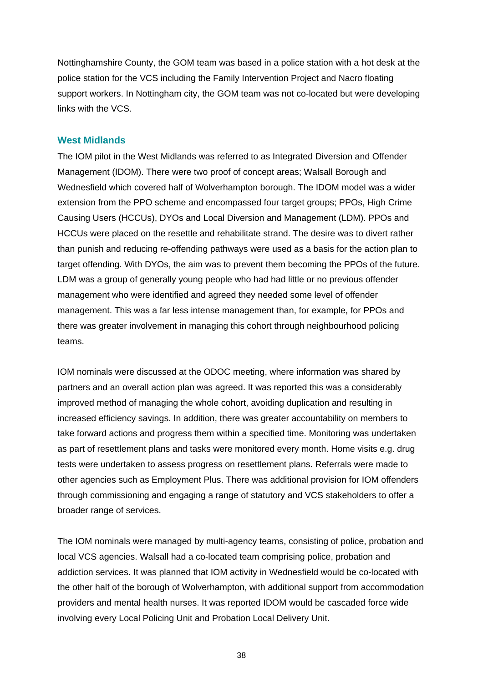Nottinghamshire County, the GOM team was based in a police station with a hot desk at the police station for the VCS including the Family Intervention Project and Nacro floating support workers. In Nottingham city, the GOM team was not co-located but were developing links with the VCS.

#### **West Midlands**

The IOM pilot in the West Midlands was referred to as Integrated Diversion and Offender Management (IDOM). There were two proof of concept areas; Walsall Borough and Wednesfield which covered half of Wolverhampton borough. The IDOM model was a wider extension from the PPO scheme and encompassed four target groups; PPOs, High Crime Causing Users (HCCUs), DYOs and Local Diversion and Management (LDM). PPOs and HCCUs were placed on the resettle and rehabilitate strand. The desire was to divert rather than punish and reducing re-offending pathways were used as a basis for the action plan to target offending. With DYOs, the aim was to prevent them becoming the PPOs of the future. LDM was a group of generally young people who had had little or no previous offender management who were identified and agreed they needed some level of offender management. This was a far less intense management than, for example, for PPOs and there was greater involvement in managing this cohort through neighbourhood policing teams.

IOM nominals were discussed at the ODOC meeting, where information was shared by partners and an overall action plan was agreed. It was reported this was a considerably improved method of managing the whole cohort, avoiding duplication and resulting in increased efficiency savings. In addition, there was greater accountability on members to take forward actions and progress them within a specified time. Monitoring was undertaken as part of resettlement plans and tasks were monitored every month. Home visits e.g. drug tests were undertaken to assess progress on resettlement plans. Referrals were made to other agencies such as Employment Plus. There was additional provision for IOM offenders through commissioning and engaging a range of statutory and VCS stakeholders to offer a broader range of services.

The IOM nominals were managed by multi-agency teams, consisting of police, probation and local VCS agencies. Walsall had a co-located team comprising police, probation and addiction services. It was planned that IOM activity in Wednesfield would be co-located with the other half of the borough of Wolverhampton, with additional support from accommodation providers and mental health nurses. It was reported IDOM would be cascaded force wide involving every Local Policing Unit and Probation Local Delivery Unit.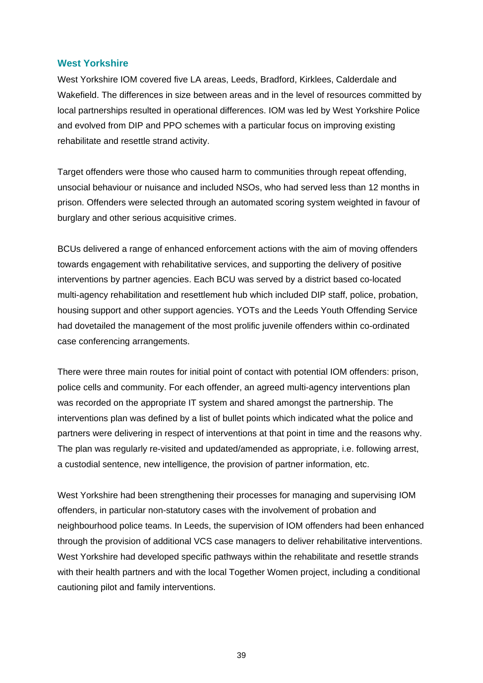#### **West Yorkshire**

West Yorkshire IOM covered five LA areas, Leeds, Bradford, Kirklees, Calderdale and Wakefield. The differences in size between areas and in the level of resources committed by local partnerships resulted in operational differences. IOM was led by West Yorkshire Police and evolved from DIP and PPO schemes with a particular focus on improving existing rehabilitate and resettle strand activity.

Target offenders were those who caused harm to communities through repeat offending, unsocial behaviour or nuisance and included NSOs, who had served less than 12 months in prison. Offenders were selected through an automated scoring system weighted in favour of burglary and other serious acquisitive crimes.

BCUs delivered a range of enhanced enforcement actions with the aim of moving offenders towards engagement with rehabilitative services, and supporting the delivery of positive interventions by partner agencies. Each BCU was served by a district based co-located multi-agency rehabilitation and resettlement hub which included DIP staff, police, probation, housing support and other support agencies. YOTs and the Leeds Youth Offending Service had dovetailed the management of the most prolific juvenile offenders within co-ordinated case conferencing arrangements.

There were three main routes for initial point of contact with potential IOM offenders: prison, police cells and community. For each offender, an agreed multi-agency interventions plan was recorded on the appropriate IT system and shared amongst the partnership. The interventions plan was defined by a list of bullet points which indicated what the police and partners were delivering in respect of interventions at that point in time and the reasons why. The plan was regularly re-visited and updated/amended as appropriate, i.e. following arrest, a custodial sentence, new intelligence, the provision of partner information, etc.

West Yorkshire had been strengthening their processes for managing and supervising IOM offenders, in particular non-statutory cases with the involvement of probation and neighbourhood police teams. In Leeds, the supervision of IOM offenders had been enhanced through the provision of additional VCS case managers to deliver rehabilitative interventions. West Yorkshire had developed specific pathways within the rehabilitate and resettle strands with their health partners and with the local Together Women project, including a conditional cautioning pilot and family interventions.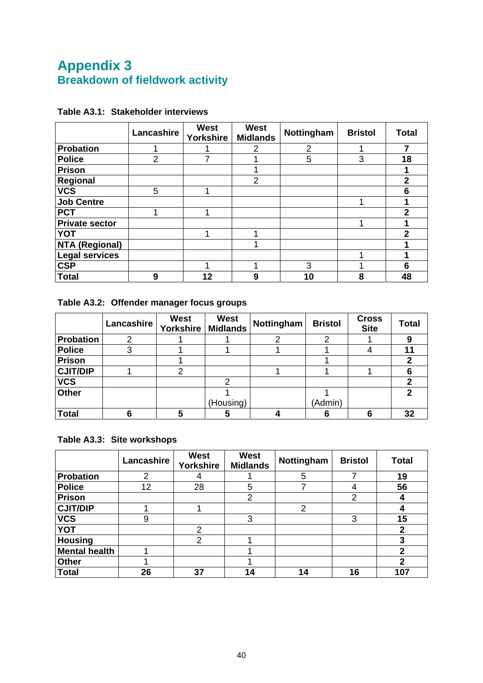## <span id="page-50-1"></span><span id="page-50-0"></span>**Appendix 3 Breakdown of fieldwork activity**

|                       | Lancashire | <b>West</b><br><b>Yorkshire</b> | <b>West</b><br><b>Midlands</b> | Nottingham     | <b>Bristol</b> | <b>Total</b> |
|-----------------------|------------|---------------------------------|--------------------------------|----------------|----------------|--------------|
| <b>Probation</b>      |            |                                 | 2                              | $\overline{2}$ |                | 7            |
| <b>Police</b>         | 2          |                                 |                                | 5              | 3              | 18           |
| <b>Prison</b>         |            |                                 |                                |                |                |              |
| Regional              |            |                                 | $\overline{2}$                 |                |                | $\mathbf{2}$ |
| <b>VCS</b>            | 5          | 4                               |                                |                |                | 6            |
| <b>Job Centre</b>     |            |                                 |                                |                |                |              |
| <b>PCT</b>            |            | ◀                               |                                |                |                | 2            |
| <b>Private sector</b> |            |                                 |                                |                |                |              |
| <b>YOT</b>            |            | 1                               |                                |                |                | $\mathbf{2}$ |
| <b>NTA (Regional)</b> |            |                                 |                                |                |                |              |
| <b>Legal services</b> |            |                                 |                                |                |                |              |
| <b>CSP</b>            |            | 1                               |                                | 3              |                | 6            |
| <b>Total</b>          | 9          | 12                              | 9                              | 10             | 8              | 48           |

#### <span id="page-50-2"></span>**Table A3.1: Stakeholder interviews**

## <span id="page-50-3"></span>**Table A3.2: Offender manager focus groups**

|                 | Lancashire | <b>West</b><br>Yorkshire | <b>West</b><br><b>Midlands</b> | Nottingham | <b>Bristol</b> | <b>Cross</b><br><b>Site</b> | <b>Total</b> |
|-----------------|------------|--------------------------|--------------------------------|------------|----------------|-----------------------------|--------------|
| Probation       | 2          |                          |                                | ⌒          | ⌒              |                             | 9            |
| Police          | 3          |                          |                                |            |                |                             |              |
| Prison          |            |                          |                                |            |                |                             |              |
| <b>CJIT/DIP</b> |            | ⌒                        |                                |            |                |                             |              |
| <b>VCS</b>      |            |                          | 2                              |            |                |                             |              |
| <b>Other</b>    |            |                          |                                |            |                |                             | ◠            |
|                 |            |                          | (Housing)                      |            | (Admin)        |                             |              |
| <b>Total</b>    | 6          |                          | 5                              |            | 6              | 6                           | 32           |

#### <span id="page-50-4"></span>**Table A3.3: Site workshops**

|                      | Lancashire | <b>West</b><br><b>Yorkshire</b> | West<br><b>Midlands</b> | Nottingham | <b>Bristol</b> | <b>Total</b>   |
|----------------------|------------|---------------------------------|-------------------------|------------|----------------|----------------|
| <b>Probation</b>     | 2          |                                 |                         | 5          |                | 19             |
| <b>Police</b>        | 12         | 28                              | 5                       |            | 4              | 56             |
| <b>Prison</b>        |            |                                 | 2                       |            | $\overline{2}$ |                |
| <b>CJIT/DIP</b>      |            |                                 |                         | 2          |                |                |
| <b>VCS</b>           | 9          |                                 | 3                       |            | 3              | 15             |
| <b>YOT</b>           |            | 2                               |                         |            |                | 2              |
| <b>Housing</b>       |            | 2                               |                         |            |                | 3              |
| <b>Mental health</b> |            |                                 |                         |            |                | $\mathbf{2}$   |
| <b>Other</b>         |            |                                 |                         |            |                | $\mathfrak{p}$ |
| <b>Total</b>         | 26         | 37                              | 14                      | 14         | 16             | 107            |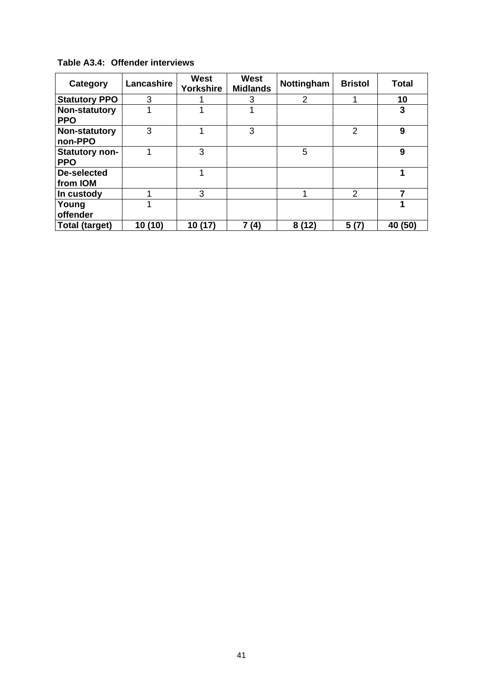| Category                       | Lancashire | West<br>Yorkshire | <b>West</b><br><b>Midlands</b> | Nottingham     | <b>Bristol</b> | <b>Total</b> |
|--------------------------------|------------|-------------------|--------------------------------|----------------|----------------|--------------|
| <b>Statutory PPO</b>           | 3          |                   | 3                              | $\overline{2}$ |                | 10           |
| Non-statutory<br><b>PPO</b>    |            |                   |                                |                |                | 3            |
| Non-statutory<br>non-PPO       | 3          |                   | 3                              |                | 2              | 9            |
| Statutory non-<br><b>PPO</b>   |            | 3                 |                                | 5              |                | 9            |
| <b>De-selected</b><br>from IOM |            |                   |                                |                |                | 4            |
| In custody                     |            | 3                 |                                |                | 2              | ⇁            |
| Young<br>offender              |            |                   |                                |                |                |              |
| <b>Total (target)</b>          | 10 (10)    | 10 (17)           | 7 (4)                          | 8(12)          | 5(7)           | 40 (50)      |

<span id="page-51-0"></span>**Table A3.4: Offender interviews**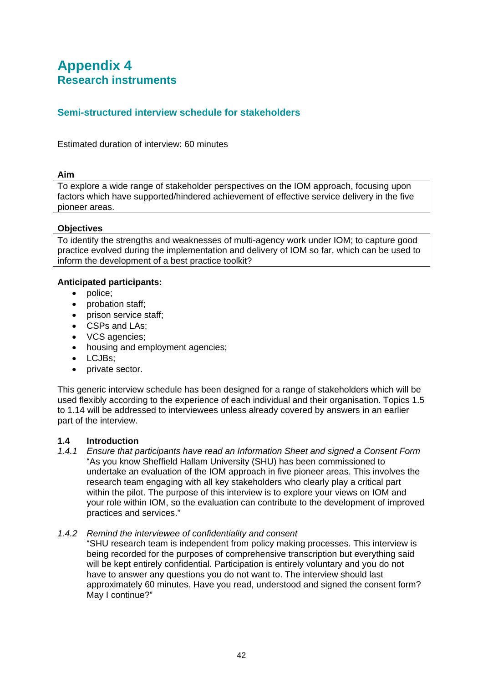## <span id="page-52-1"></span><span id="page-52-0"></span>**Appendix 4 Research instruments**

#### **Semi-structured interview schedule for stakeholders**

Estimated duration of interview: 60 minutes

#### **Aim**

To explore a wide range of stakeholder perspectives on the IOM approach, focusing upon factors which have supported/hindered achievement of effective service delivery in the five pioneer areas.

#### **Objectives**

To identify the strengths and weaknesses of multi-agency work under IOM; to capture good practice evolved during the implementation and delivery of IOM so far, which can be used to inform the development of a best practice toolkit?

#### **Anticipated participants:**

- police;
- probation staff;
- prison service staff;
- CSPs and LAs:
- VCS agencies:
- housing and employment agencies;
- LCJBs:
- private sector.

This generic interview schedule has been designed for a range of stakeholders which will be used flexibly according to the experience of each individual and their organisation. Topics 1.5 to 1.14 will be addressed to interviewees unless already covered by answers in an earlier part of the interview.

#### **1.4 Introduction**

*1.4.1 Ensure that participants have read an Information Sheet and signed a Consent Form*  "As you know Sheffield Hallam University (SHU) has been commissioned to undertake an evaluation of the IOM approach in five pioneer areas. This involves the research team engaging with all key stakeholders who clearly play a critical part within the pilot. The purpose of this interview is to explore your views on IOM and your role within IOM, so the evaluation can contribute to the development of improved practices and services."

#### *1.4.2 Remind the interviewee of confidentiality and consent*

"SHU research team is independent from policy making processes. This interview is being recorded for the purposes of comprehensive transcription but everything said will be kept entirely confidential. Participation is entirely voluntary and you do not have to answer any questions you do not want to. The interview should last approximately 60 minutes. Have you read, understood and signed the consent form? May I continue?"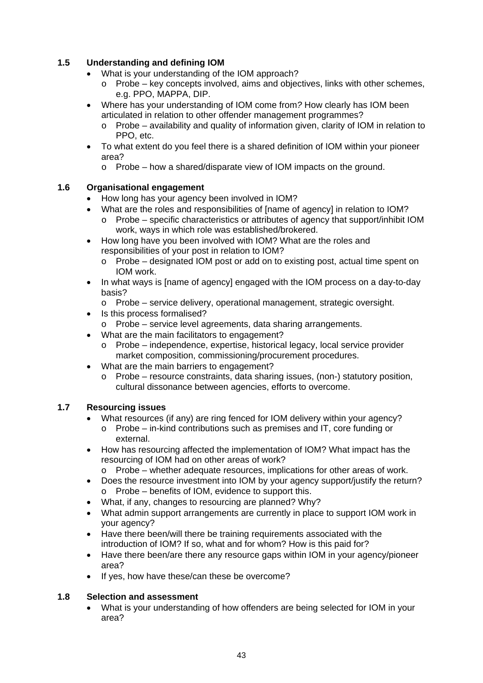#### **1.5 Understanding and defining IOM**

- What is your understanding of the IOM approach?
	- $\circ$  Probe key concepts involved, aims and objectives, links with other schemes, e.g. PPO, MAPPA, DIP.
- Where has your understanding of IOM come from*?* How clearly has IOM been articulated in relation to other offender management programmes?
	- $\circ$  Probe availability and quality of information given, clarity of IOM in relation to PPO, etc.
- To what extent do you feel there is a shared definition of IOM within your pioneer area?
	- o Probe how a shared/disparate view of IOM impacts on the ground.

#### **1.6 Organisational engagement**

- How long has your agency been involved in IOM?
- What are the roles and responsibilities of Iname of agencyl in relation to IOM?
	- o Probe specific characteristics or attributes of agency that support/inhibit IOM work, ways in which role was established/brokered.
- How long have you been involved with IOM? What are the roles and responsibilities of your post in relation to IOM?
	- o Probe designated IOM post or add on to existing post, actual time spent on IOM work.
- In what ways is [name of agency] engaged with the IOM process on a day-to-day basis?
	- $\circ$  Probe service delivery, operational management, strategic oversight.
- Is this process formalised?
	- o Probe service level agreements, data sharing arrangements.
- What are the main facilitators to engagement?
	- o Probe independence, expertise, historical legacy, local service provider market composition, commissioning/procurement procedures.
- What are the main barriers to engagement?
	- o Probe resource constraints, data sharing issues, (non-) statutory position, cultural dissonance between agencies, efforts to overcome.

#### **1.7 Resourcing issues**

- What resources (if any) are ring fenced for IOM delivery within your agency?
	- $\circ$  Probe in-kind contributions such as premises and IT, core funding or external.
- How has resourcing affected the implementation of IOM? What impact has the resourcing of IOM had on other areas of work?
	- $\circ$  Probe whether adequate resources, implications for other areas of work.
- Does the resource investment into IOM by your agency support/justify the return? o Probe – benefits of IOM, evidence to support this.
- What, if any, changes to resourcing are planned? Why?
- What admin support arrangements are currently in place to support IOM work in your agency?
- Have there been/will there be training requirements associated with the introduction of IOM? If so, what and for whom? How is this paid for?
- Have there been/are there any resource gaps within IOM in your agency/pioneer area?
- If yes, how have these/can these be overcome?

#### **1.8 Selection and assessment**

 What is your understanding of how offenders are being selected for IOM in your area?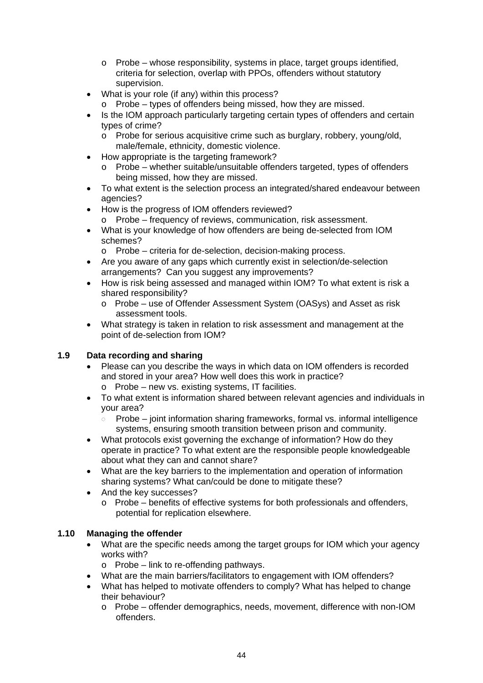- o Probe whose responsibility, systems in place, target groups identified, criteria for selection, overlap with PPOs, offenders without statutory supervision.
- What is your role (if any) within this process?
	- o Probe types of offenders being missed, how they are missed.
- Is the IOM approach particularly targeting certain types of offenders and certain types of crime?
	- o Probe for serious acquisitive crime such as burglary, robbery, young/old, male/female, ethnicity, domestic violence.
- How appropriate is the targeting framework?
	- o Probe whether suitable/unsuitable offenders targeted, types of offenders being missed, how they are missed.
- To what extent is the selection process an integrated/shared endeavour between agencies?
- How is the progress of IOM offenders reviewed?
	- o Probe frequency of reviews, communication, risk assessment.
- What is your knowledge of how offenders are being de-selected from IOM schemes?
	- o Probe criteria for de-selection, decision-making process.
- Are you aware of any gaps which currently exist in selection/de-selection arrangements? Can you suggest any improvements?
- How is risk being assessed and managed within IOM? To what extent is risk a shared responsibility?
	- o Probe use of Offender Assessment System (OASys) and Asset as risk assessment tools.
- What strategy is taken in relation to risk assessment and management at the point of de-selection from IOM?

#### **1.9 Data recording and sharing**

- Please can you describe the ways in which data on IOM offenders is recorded and stored in your area? How well does this work in practice? o Probe – new vs. existing systems, IT facilities.
- To what extent is information shared between relevant agencies and individuals in your area?
	- Probe joint information sharing frameworks, formal vs. informal intelligence  $\circ$ systems, ensuring smooth transition between prison and community.
- What protocols exist governing the exchange of information? How do they operate in practice? To what extent are the responsible people knowledgeable about what they can and cannot share?
- What are the key barriers to the implementation and operation of information sharing systems? What can/could be done to mitigate these?
- And the key successes?
	- o Probe benefits of effective systems for both professionals and offenders, potential for replication elsewhere.

#### **1.10 Managing the offender**

- What are the specific needs among the target groups for IOM which your agency works with?
	- $\circ$  Probe link to re-offending pathways.
- What are the main barriers/facilitators to engagement with IOM offenders?
- What has helped to motivate offenders to comply? What has helped to change their behaviour?
	- o Probe offender demographics, needs, movement, difference with non-IOM offenders.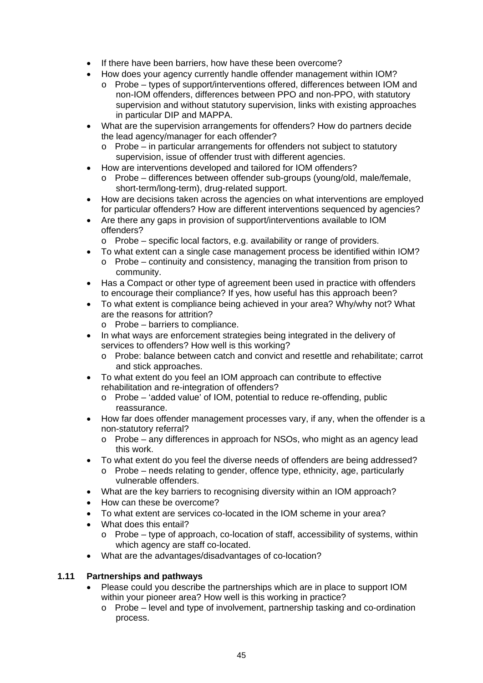- If there have been barriers, how have these been overcome?
- How does your agency currently handle offender management within IOM?
	- o Probe types of support/interventions offered, differences between IOM and non-IOM offenders, differences between PPO and non-PPO, with statutory supervision and without statutory supervision, links with existing approaches in particular DIP and MAPPA.
- What are the supervision arrangements for offenders? How do partners decide the lead agency/manager for each offender?
	- o Probe in particular arrangements for offenders not subject to statutory supervision, issue of offender trust with different agencies.
- How are interventions developed and tailored for IOM offenders?
	- o Probe differences between offender sub-groups (young/old, male/female, short-term/long-term), drug-related support.
- How are decisions taken across the agencies on what interventions are employed for particular offenders? How are different interventions sequenced by agencies?
- Are there any gaps in provision of support/interventions available to IOM offenders?
	- o Probe specific local factors, e.g. availability or range of providers.
- To what extent can a single case management process be identified within IOM?
	- $\circ$  Probe continuity and consistency, managing the transition from prison to community.
- Has a Compact or other type of agreement been used in practice with offenders to encourage their compliance? If yes, how useful has this approach been?
- To what extent is compliance being achieved in your area? Why/why not? What are the reasons for attrition?
	- o Probe barriers to compliance.
- In what ways are enforcement strategies being integrated in the delivery of services to offenders? How well is this working?
	- o Probe: balance between catch and convict and resettle and rehabilitate; carrot and stick approaches.
- To what extent do you feel an IOM approach can contribute to effective rehabilitation and re-integration of offenders?
	- o Probe 'added value' of IOM, potential to reduce re-offending, public reassurance.
- How far does offender management processes vary, if any, when the offender is a non-statutory referral?
	- o Probe any differences in approach for NSOs, who might as an agency lead this work.
- To what extent do you feel the diverse needs of offenders are being addressed?
	- o Probe needs relating to gender, offence type, ethnicity, age, particularly vulnerable offenders.
- What are the key barriers to recognising diversity within an IOM approach?
- How can these be overcome?
- To what extent are services co-located in the IOM scheme in your area?
- What does this entail?
	- $\circ$  Probe type of approach, co-location of staff, accessibility of systems, within which agency are staff co-located.
- What are the advantages/disadvantages of co-location?

#### **1.11 Partnerships and pathways**

- Please could you describe the partnerships which are in place to support IOM within your pioneer area? How well is this working in practice?
	- o Probe level and type of involvement, partnership tasking and co-ordination process.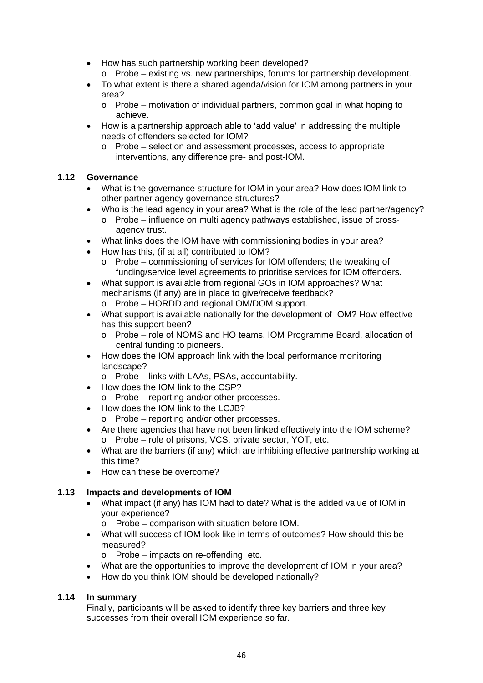- How has such partnership working been developed?
	- o Probe existing vs. new partnerships, forums for partnership development.
- To what extent is there a shared agenda/vision for IOM among partners in your area?
	- o Probe motivation of individual partners, common goal in what hoping to achieve.
- How is a partnership approach able to 'add value' in addressing the multiple needs of offenders selected for IOM?
	- o Probe selection and assessment processes, access to appropriate interventions, any difference pre- and post-IOM.

#### **1.12 Governance**

- What is the governance structure for IOM in your area? How does IOM link to other partner agency governance structures?
- Who is the lead agency in your area? What is the role of the lead partner/agency?
	- o Probe influence on multi agency pathways established, issue of crossagency trust.
- What links does the IOM have with commissioning bodies in your area?
- How has this, (if at all) contributed to IOM?
	- o Probe commissioning of services for IOM offenders; the tweaking of funding/service level agreements to prioritise services for IOM offenders.
- What support is available from regional GOs in IOM approaches? What mechanisms (if any) are in place to give/receive feedback?
	- o Probe HORDD and regional OM/DOM support.
- What support is available nationally for the development of IOM? How effective has this support been?
	- o Probe role of NOMS and HO teams, IOM Programme Board, allocation of central funding to pioneers.
- How does the IOM approach link with the local performance monitoring landscape?
	- o Probe links with LAAs, PSAs, accountability.
- How does the IOM link to the CSP?
	- o Probe reporting and/or other processes.
- How does the IOM link to the LCJB?
	- o Probe reporting and/or other processes.
- Are there agencies that have not been linked effectively into the IOM scheme? o Probe – role of prisons, VCS, private sector, YOT, etc.
- What are the barriers (if any) which are inhibiting effective partnership working at this time?
- How can these be overcome?

#### **1.13 Impacts and developments of IOM**

- What impact (if any) has IOM had to date? What is the added value of IOM in your experience?
	- o Probe comparison with situation before IOM.
- What will success of IOM look like in terms of outcomes? How should this be measured?
	- o Probe impacts on re-offending, etc.
- What are the opportunities to improve the development of IOM in your area?
- How do you think IOM should be developed nationally?

#### **1.14 In summary**

Finally, participants will be asked to identify three key barriers and three key successes from their overall IOM experience so far.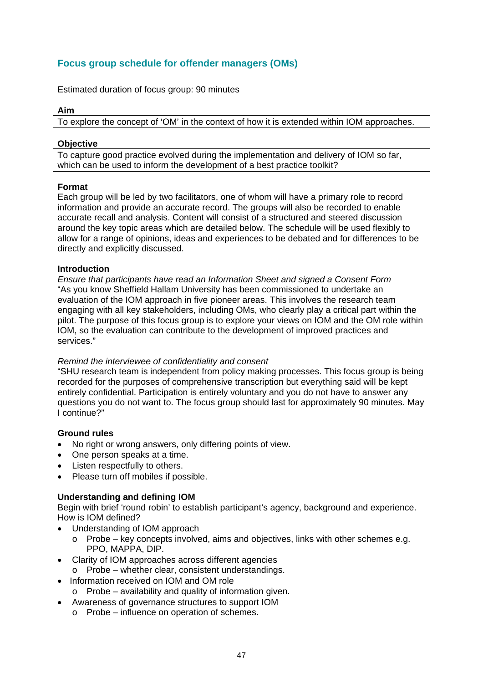### **Focus group schedule for offender managers (OMs)**

Estimated duration of focus group: 90 minutes

#### **Aim**

To explore the concept of 'OM' in the context of how it is extended within IOM approaches.

#### **Objective**

To capture good practice evolved during the implementation and delivery of IOM so far, which can be used to inform the development of a best practice toolkit?

#### **Format**

Each group will be led by two facilitators, one of whom will have a primary role to record information and provide an accurate record. The groups will also be recorded to enable accurate recall and analysis. Content will consist of a structured and steered discussion around the key topic areas which are detailed below. The schedule will be used flexibly to allow for a range of opinions, ideas and experiences to be debated and for differences to be directly and explicitly discussed.

#### **Introduction**

*Ensure that participants have read an Information Sheet and signed a Consent Form* "As you know Sheffield Hallam University has been commissioned to undertake an evaluation of the IOM approach in five pioneer areas. This involves the research team engaging with all key stakeholders, including OMs, who clearly play a critical part within the pilot. The purpose of this focus group is to explore your views on IOM and the OM role within IOM, so the evaluation can contribute to the development of improved practices and services."

#### *Remind the interviewee of confidentiality and consent*

"SHU research team is independent from policy making processes. This focus group is being recorded for the purposes of comprehensive transcription but everything said will be kept entirely confidential. Participation is entirely voluntary and you do not have to answer any questions you do not want to. The focus group should last for approximately 90 minutes. May I continue?"

#### **Ground rules**

- No right or wrong answers, only differing points of view.
- One person speaks at a time.
- Listen respectfully to others.
- Please turn off mobiles if possible.

#### **Understanding and defining IOM**

Begin with brief 'round robin' to establish participant's agency, background and experience. How is IOM defined?

- Understanding of IOM approach
	- $\circ$  Probe key concepts involved, aims and objectives, links with other schemes e.g. PPO, MAPPA, DIP.
- Clarity of IOM approaches across different agencies
- o Probe whether clear, consistent understandings.
- Information received on IOM and OM role
	- $\circ$  Probe availability and quality of information given.
- Awareness of governance structures to support IOM
	- o Probe influence on operation of schemes.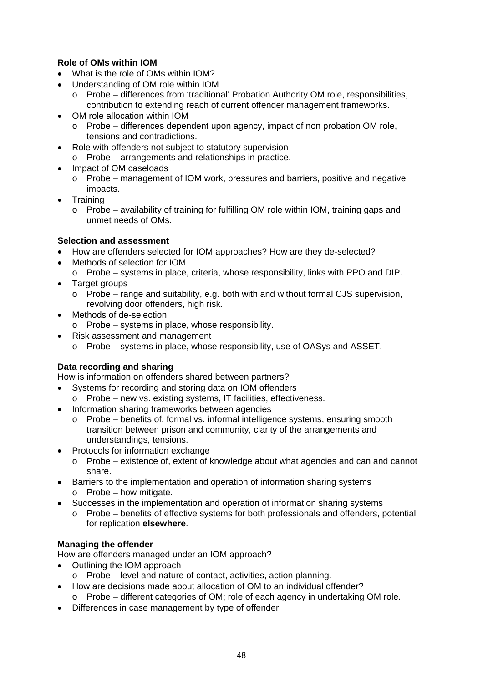#### **Role of OMs within IOM**

- What is the role of OMs within IOM?
- Understanding of OM role within IOM
	- o Probe differences from 'traditional' Probation Authority OM role, responsibilities, contribution to extending reach of current offender management frameworks.
- OM role allocation within IOM
	- o Probe differences dependent upon agency, impact of non probation OM role, tensions and contradictions.
- Role with offenders not subject to statutory supervision o Probe – arrangements and relationships in practice.
- Impact of OM caseloads
	- o Probe management of IOM work, pressures and barriers, positive and negative impacts.
- **Training** 
	- $\circ$  Probe availability of training for fulfilling OM role within IOM, training gaps and unmet needs of OMs.

#### **Selection and assessment**

- How are offenders selected for IOM approaches? How are they de-selected?
- Methods of selection for IOM
	- o Probe systems in place, criteria, whose responsibility, links with PPO and DIP.
- Target groups
	- o Probe range and suitability, e.g. both with and without formal CJS supervision, revolving door offenders, high risk.
- Methods of de-selection
	- o Probe systems in place, whose responsibility.
- Risk assessment and management
	- o Probe systems in place, whose responsibility, use of OASys and ASSET.

#### **Data recording and sharing**

How is information on offenders shared between partners?

- Systems for recording and storing data on IOM offenders
- o Probe new vs. existing systems, IT facilities, effectiveness.
- Information sharing frameworks between agencies
	- o Probe benefits of, formal vs. informal intelligence systems, ensuring smooth transition between prison and community, clarity of the arrangements and understandings, tensions.
- Protocols for information exchange
	- $\circ$  Probe existence of, extent of knowledge about what agencies and can and cannot share.
- Barriers to the implementation and operation of information sharing systems o Probe – how mitigate.
- Successes in the implementation and operation of information sharing systems
	- o Probe benefits of effective systems for both professionals and offenders, potential for replication **elsewhere**.

#### **Managing the offender**

How are offenders managed under an IOM approach?

- Outlining the IOM approach
- o Probe level and nature of contact, activities, action planning.
- How are decisions made about allocation of OM to an individual offender?
- $\circ$  Probe different categories of OM; role of each agency in undertaking OM role.
- Differences in case management by type of offender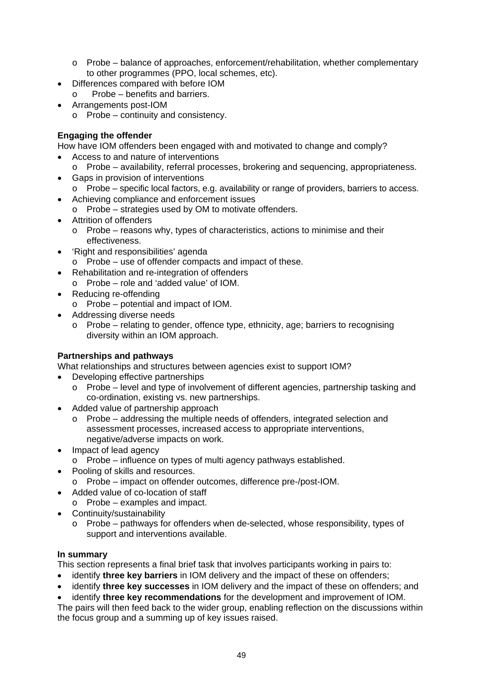- o Probe balance of approaches, enforcement/rehabilitation, whether complementary to other programmes (PPO, local schemes, etc).
- Differences compared with before IOM
- $\circ$  Probe benefits and barriers.
- Arrangements post-IOM
	- o Probe continuity and consistency.

### **Engaging the offender**

How have IOM offenders been engaged with and motivated to change and comply?

- Access to and nature of interventions
- $\circ$  Probe availability, referral processes, brokering and sequencing, appropriateness.
- Gaps in provision of interventions
	- o Probe specific local factors, e.g. availability or range of providers, barriers to access.
- Achieving compliance and enforcement issues
- o Probe strategies used by OM to motivate offenders.
- Attrition of offenders
	- $\circ$  Probe reasons why, types of characteristics, actions to minimise and their effectiveness.
- 'Right and responsibilities' agenda
	- o Probe use of offender compacts and impact of these.
- Rehabilitation and re-integration of offenders
- o Probe role and 'added value' of IOM.
- Reducing re-offending
	- o Probe potential and impact of IOM.
- Addressing diverse needs
	- $\circ$  Probe relating to gender, offence type, ethnicity, age; barriers to recognising diversity within an IOM approach.

#### **Partnerships and pathways**

What relationships and structures between agencies exist to support IOM?

- Developing effective partnerships
	- o Probe level and type of involvement of different agencies, partnership tasking and co-ordination, existing vs. new partnerships.
- Added value of partnership approach
	- o Probe addressing the multiple needs of offenders, integrated selection and assessment processes, increased access to appropriate interventions, negative/adverse impacts on work.
- Impact of lead agency
	- o Probe influence on types of multi agency pathways established.
- Pooling of skills and resources.
	- o Probe impact on offender outcomes, difference pre-/post-IOM.
- Added value of co-location of staff
	- o Probe examples and impact.
- Continuity/sustainability
	- $\circ$  Probe pathways for offenders when de-selected, whose responsibility, types of support and interventions available.

#### **In summary**

This section represents a final brief task that involves participants working in pairs to:

- identify **three key barriers** in IOM delivery and the impact of these on offenders;
- identify **three key successes** in IOM delivery and the impact of these on offenders; and
- identify **three key recommendations** for the development and improvement of IOM.

The pairs will then feed back to the wider group, enabling reflection on the discussions within the focus group and a summing up of key issues raised.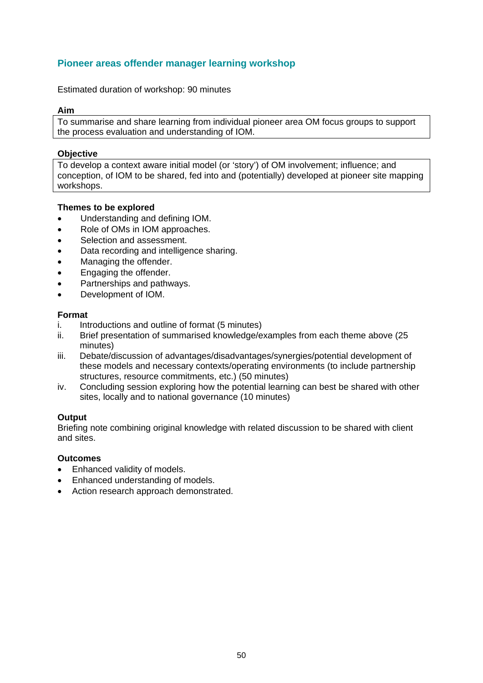### **Pioneer areas offender manager learning workshop**

Estimated duration of workshop: 90 minutes

#### **Aim**

To summarise and share learning from individual pioneer area OM focus groups to support the process evaluation and understanding of IOM.

#### **Objective**

To develop a context aware initial model (or 'story') of OM involvement; influence; and conception, of IOM to be shared, fed into and (potentially) developed at pioneer site mapping workshops.

#### **Themes to be explored**

- Understanding and defining IOM.
- Role of OMs in IOM approaches.
- Selection and assessment.
- Data recording and intelligence sharing.
- Managing the offender.
- Engaging the offender.
- Partnerships and pathways.
- Development of IOM.

#### **Format**

- i. Introductions and outline of format (5 minutes)
- ii. Brief presentation of summarised knowledge/examples from each theme above (25 minutes)
- iii. Debate/discussion of advantages/disadvantages/synergies/potential development of these models and necessary contexts/operating environments (to include partnership structures, resource commitments, etc.) (50 minutes)
- iv. Concluding session exploring how the potential learning can best be shared with other sites, locally and to national governance (10 minutes)

#### **Output**

Briefing note combining original knowledge with related discussion to be shared with client and sites.

#### **Outcomes**

- Enhanced validity of models.
- Enhanced understanding of models.
- Action research approach demonstrated.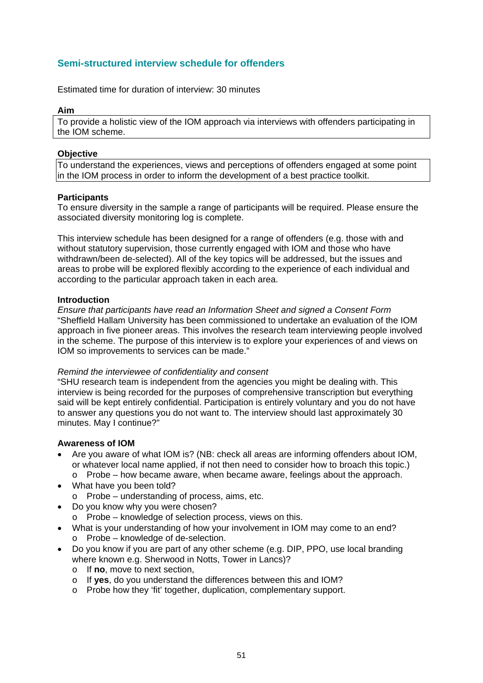### **Semi-structured interview schedule for offenders**

Estimated time for duration of interview: 30 minutes

#### **Aim**

To provide a holistic view of the IOM approach via interviews with offenders participating in the IOM scheme.

#### **Objective**

To understand the experiences, views and perceptions of offenders engaged at some point in the IOM process in order to inform the development of a best practice toolkit.

#### **Participants**

To ensure diversity in the sample a range of participants will be required. Please ensure the associated diversity monitoring log is complete.

This interview schedule has been designed for a range of offenders (e.g. those with and without statutory supervision, those currently engaged with IOM and those who have withdrawn/been de-selected). All of the key topics will be addressed, but the issues and areas to probe will be explored flexibly according to the experience of each individual and according to the particular approach taken in each area.

#### **Introduction**

*Ensure that participants have read an Information Sheet and signed a Consent Form*  "Sheffield Hallam University has been commissioned to undertake an evaluation of the IOM approach in five pioneer areas. This involves the research team interviewing people involved in the scheme. The purpose of this interview is to explore your experiences of and views on IOM so improvements to services can be made."

#### *Remind the interviewee of confidentiality and consent*

"SHU research team is independent from the agencies you might be dealing with. This interview is being recorded for the purposes of comprehensive transcription but everything said will be kept entirely confidential. Participation is entirely voluntary and you do not have to answer any questions you do not want to. The interview should last approximately 30 minutes. May I continue?"

#### **Awareness of IOM**

- Are you aware of what IOM is? (NB: check all areas are informing offenders about IOM, or whatever local name applied, if not then need to consider how to broach this topic.)
	- $\circ$  Probe how became aware, when became aware, feelings about the approach.
- What have you been told?
	- o Probe understanding of process, aims, etc.
- Do you know why you were chosen?
	- o Probe knowledge of selection process, views on this.
- What is your understanding of how your involvement in IOM may come to an end? o Probe – knowledge of de-selection.
- Do you know if you are part of any other scheme (e.g. DIP, PPO, use local branding where known e.g. Sherwood in Notts, Tower in Lancs)?
	- o If **no**, move to next section,
	- o If **yes**, do you understand the differences between this and IOM?
	- o Probe how they 'fit' together, duplication, complementary support.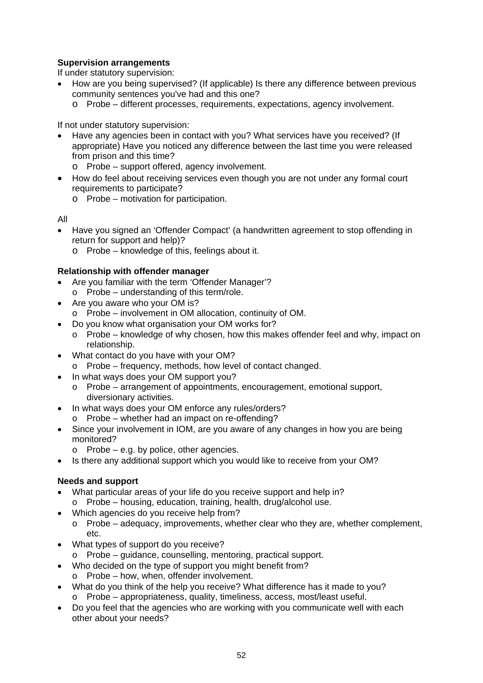#### **Supervision arrangements**

If under statutory supervision:

- How are you being supervised? (If applicable) Is there any difference between previous community sentences you've had and this one?
	- o Probe different processes, requirements, expectations, agency involvement.

If not under statutory supervision:

- Have any agencies been in contact with you? What services have you received? (If appropriate) Have you noticed any difference between the last time you were released from prison and this time?
	- o Probe support offered, agency involvement.
- How do feel about receiving services even though you are not under any formal court requirements to participate?
	- o Probe motivation for participation.

All

- Have you signed an 'Offender Compact' (a handwritten agreement to stop offending in return for support and help)?
	- o Probe knowledge of this, feelings about it.

#### **Relationship with offender manager**

- Are you familiar with the term 'Offender Manager'? o Probe – understanding of this term/role.
- Are you aware who your OM is?
- o Probe involvement in OM allocation, continuity of OM.
- Do you know what organisation your OM works for?
- $\circ$  Probe knowledge of why chosen, how this makes offender feel and why, impact on relationship.
- What contact do you have with your OM?
	- o Probe frequency, methods, how level of contact changed.
- In what ways does your OM support you?
	- o Probe arrangement of appointments, encouragement, emotional support, diversionary activities.
- In what ways does your OM enforce any rules/orders?
	- o Probe whether had an impact on re-offending?
- Since your involvement in IOM, are you aware of any changes in how you are being monitored?
	- $\circ$  Probe e.g. by police, other agencies.
- Is there any additional support which you would like to receive from your OM?

#### **Needs and support**

- What particular areas of your life do you receive support and help in?
	- o Probe housing, education, training, health, drug/alcohol use.
- Which agencies do you receive help from?
	- $\circ$  Probe adequacy, improvements, whether clear who they are, whether complement, etc.
- What types of support do you receive?
- o Probe guidance, counselling, mentoring, practical support.
- Who decided on the type of support you might benefit from?
	- o Probe how, when, offender involvement.
- What do you think of the help you receive? What difference has it made to you? o Probe – appropriateness, quality, timeliness, access, most/least useful.
- Do you feel that the agencies who are working with you communicate well with each other about your needs?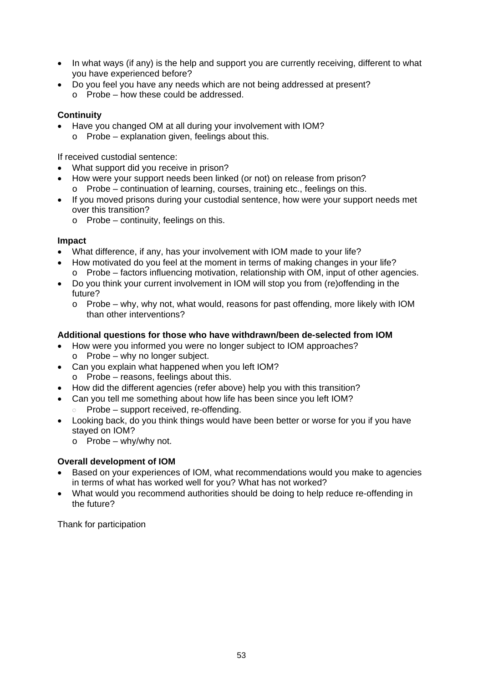- In what ways (if any) is the help and support you are currently receiving, different to what you have experienced before?
- Do you feel you have any needs which are not being addressed at present? o Probe – how these could be addressed.

#### **Continuity**

- Have you changed OM at all during your involvement with IOM?
	- o Probe explanation given, feelings about this.

If received custodial sentence:

- What support did you receive in prison?
- How were your support needs been linked (or not) on release from prison?
- o Probe continuation of learning, courses, training etc., feelings on this.
- If you moved prisons during your custodial sentence, how were your support needs met over this transition?
	- o Probe continuity, feelings on this.

#### **Impact**

- What difference, if any, has your involvement with IOM made to your life?
- How motivated do you feel at the moment in terms of making changes in your life? o Probe – factors influencing motivation, relationship with OM, input of other agencies.
- Do you think your current involvement in IOM will stop you from (re)offending in the future?
	- o Probe why, why not, what would, reasons for past offending, more likely with IOM than other interventions?

#### **Additional questions for those who have withdrawn/been de-selected from IOM**

- How were you informed you were no longer subject to IOM approaches? o Probe – why no longer subject.
- Can you explain what happened when you left IOM? o Probe – reasons, feelings about this.
- How did the different agencies (refer above) help you with this transition?
- Can you tell me something about how life has been since you left IOM?  $\circ$  Probe – support received, re-offending.
- Looking back, do you think things would have been better or worse for you if you have stayed on IOM?
	- $\circ$  Probe why/why not.

#### **Overall development of IOM**

- Based on your experiences of IOM, what recommendations would you make to agencies in terms of what has worked well for you? What has not worked?
- What would you recommend authorities should be doing to help reduce re-offending in the future?

Thank for participation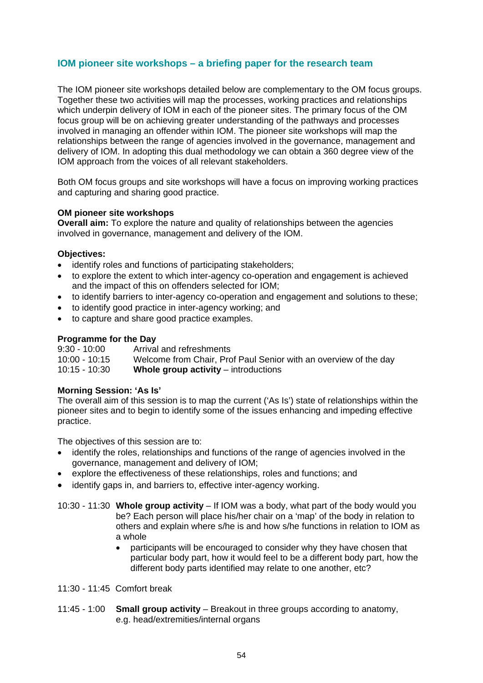#### **IOM pioneer site workshops – a briefing paper for the research team**

The IOM pioneer site workshops detailed below are complementary to the OM focus groups. Together these two activities will map the processes, working practices and relationships which underpin delivery of IOM in each of the pioneer sites. The primary focus of the OM focus group will be on achieving greater understanding of the pathways and processes involved in managing an offender within IOM. The pioneer site workshops will map the relationships between the range of agencies involved in the governance, management and delivery of IOM. In adopting this dual methodology we can obtain a 360 degree view of the IOM approach from the voices of all relevant stakeholders.

Both OM focus groups and site workshops will have a focus on improving working practices and capturing and sharing good practice.

#### **OM pioneer site workshops**

**Overall aim:** To explore the nature and quality of relationships between the agencies involved in governance, management and delivery of the IOM.

#### **Objectives:**

- identify roles and functions of participating stakeholders;
- to explore the extent to which inter-agency co-operation and engagement is achieved and the impact of this on offenders selected for IOM;
- to identify barriers to inter-agency co-operation and engagement and solutions to these;
- to identify good practice in inter-agency working; and
- to capture and share good practice examples.

#### **Programme for the Day**

9:30 - 10:00 Arrival and refreshments<br>10:00 - 10:15 Welcome from Chair. Pro Welcome from Chair, Prof Paul Senior with an overview of the day 10:15 - 10:30 **Whole group activity** – introductions

#### **Morning Session: 'As Is'**

The overall aim of this session is to map the current ('As Is') state of relationships within the pioneer sites and to begin to identify some of the issues enhancing and impeding effective practice.

The objectives of this session are to:

- identify the roles, relationships and functions of the range of agencies involved in the governance, management and delivery of IOM;
- explore the effectiveness of these relationships, roles and functions; and
- identify gaps in, and barriers to, effective inter-agency working.

10:30 - 11:30 **Whole group activity** – If IOM was a body, what part of the body would you be? Each person will place his/her chair on a 'map' of the body in relation to others and explain where s/he is and how s/he functions in relation to IOM as a whole

- participants will be encouraged to consider why they have chosen that particular body part, how it would feel to be a different body part, how the different body parts identified may relate to one another, etc?
- 11:30 11:45 Comfort break
- 11:45 1:00 **Small group activity** Breakout in three groups according to anatomy, e.g. head/extremities/internal organs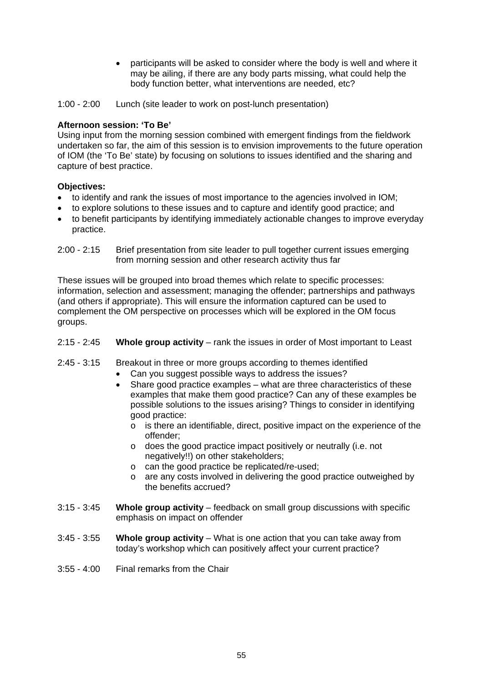participants will be asked to consider where the body is well and where it may be ailing, if there are any body parts missing, what could help the body function better, what interventions are needed, etc?

1:00 - 2:00 Lunch (site leader to work on post-lunch presentation)

#### **Afternoon session: 'To Be'**

Using input from the morning session combined with emergent findings from the fieldwork undertaken so far, the aim of this session is to envision improvements to the future operation of IOM (the 'To Be' state) by focusing on solutions to issues identified and the sharing and capture of best practice.

#### **Objectives:**

- to identify and rank the issues of most importance to the agencies involved in IOM;
- to explore solutions to these issues and to capture and identify good practice; and
- to benefit participants by identifying immediately actionable changes to improve everyday practice.
- 2:00 2:15 Brief presentation from site leader to pull together current issues emerging from morning session and other research activity thus far

These issues will be grouped into broad themes which relate to specific processes: information, selection and assessment; managing the offender; partnerships and pathways (and others if appropriate). This will ensure the information captured can be used to complement the OM perspective on processes which will be explored in the OM focus groups.

- 2:15 2:45 **Whole group activity** rank the issues in order of Most important to Least
- 2:45 3:15 Breakout in three or more groups according to themes identified
	- Can you suggest possible ways to address the issues?
	- Share good practice examples what are three characteristics of these examples that make them good practice? Can any of these examples be possible solutions to the issues arising? Things to consider in identifying good practice:
		- o is there an identifiable, direct, positive impact on the experience of the offender;
		- o does the good practice impact positively or neutrally (i.e. not negatively!!) on other stakeholders;
		- o can the good practice be replicated/re-used;
		- o are any costs involved in delivering the good practice outweighed by the benefits accrued?
- 3:15 3:45 **Whole group activity** feedback on small group discussions with specific emphasis on impact on offender
- 3:45 3:55 **Whole group activity** What is one action that you can take away from today's workshop which can positively affect your current practice?
- 3:55 4:00 Final remarks from the Chair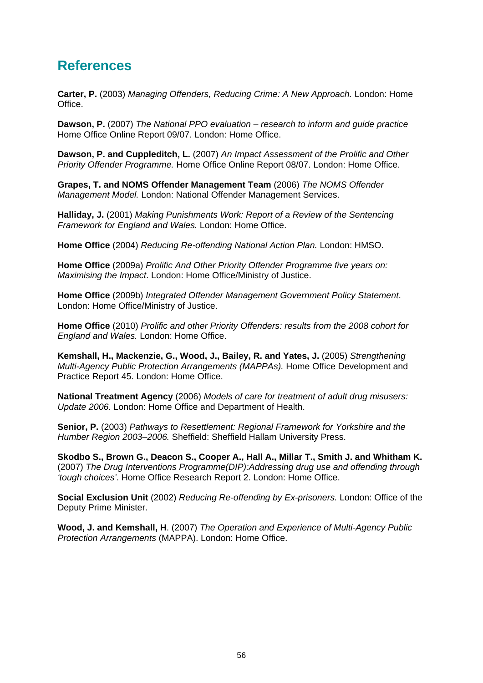## <span id="page-66-0"></span>**References**

**Carter, P.** (2003) *Managing Offenders, Reducing Crime: A New Approach.* London: Home Office.

**Dawson, P.** (2007) *The National PPO evaluation – research to inform and guide practice*  Home Office Online Report 09/07. London: Home Office.

**Dawson, P. and Cuppleditch, L.** (2007) *An Impact Assessment of the Prolific and Other Priority Offender Programme.* Home Office Online Report 08/07. London: Home Office.

**Grapes, T. and NOMS Offender Management Team** (2006) *The NOMS Offender Management Model.* London: National Offender Management Services.

**Halliday, J.** (2001) *Making Punishments Work: Report of a Review of the Sentencing Framework for England and Wales.* London: Home Office.

**Home Office** (2004) *Reducing Re-offending National Action Plan.* London: HMSO.

**Home Office** (2009a) *Prolific And Other Priority Offender Programme five years on: Maximising the Impact*. London: Home Office/Ministry of Justice.

**Home Office** (2009b) *Integrated Offender Management Government Policy Statement*. London: Home Office/Ministry of Justice.

**Home Office** (2010) *Prolific and other Priority Offenders: results from the 2008 cohort for England and Wales.* London: Home Office.

**Kemshall, H., Mackenzie, G., Wood, J., Bailey, R. and Yates, J.** (2005) *Strengthening Multi-Agency Public Protection Arrangements (MAPPAs).* Home Office Development and Practice Report 45. London: Home Office.

**National Treatment Agency** (2006) *Models of care for treatment of adult drug misusers: Update 2006.* London: Home Office and Department of Health.

**Senior, P.** (2003) *Pathways to Resettlement: Regional Framework for Yorkshire and the Humber Region 2003–2006.* Sheffield: Sheffield Hallam University Press.

**Skodbo S., Brown G., Deacon S., Cooper A., Hall A., Millar T., Smith J. and Whitham K.** (2007) *The Drug Interventions Programme(DIP):Addressing drug use and offending through 'tough choices'*. Home Office Research Report 2. London: Home Office.

**Social Exclusion Unit** (2002) *Reducing Re-offending by Ex-prisoners.* London: Office of the Deputy Prime Minister.

**Wood, J. and Kemshall, H**. (2007) *The Operation and Experience of Multi-Agency Public Protection Arrangements* (MAPPA). London: Home Office.